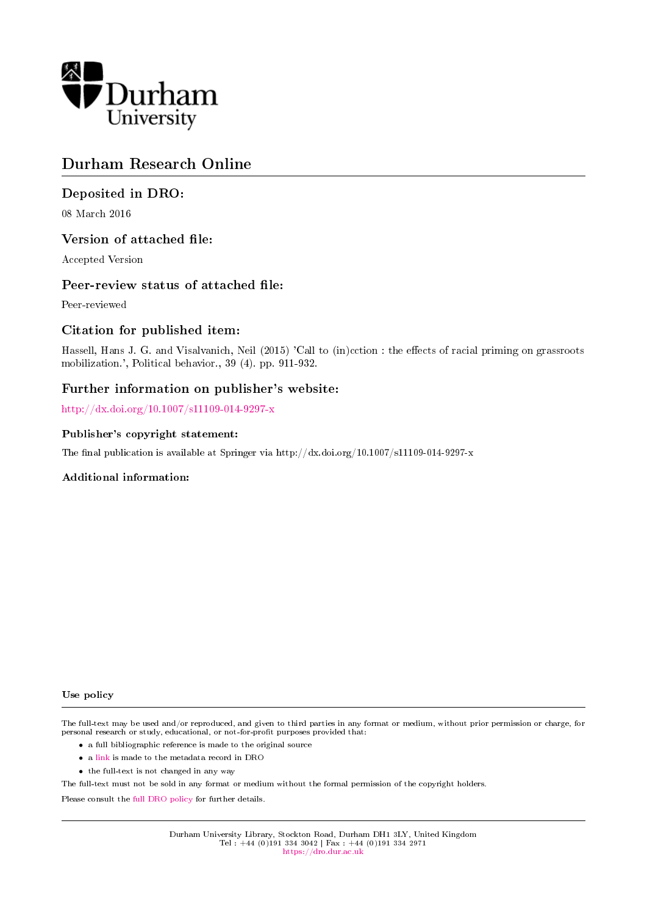

# Durham Research Online

# Deposited in DRO:

08 March 2016

# Version of attached file:

Accepted Version

# Peer-review status of attached file:

Peer-reviewed

# Citation for published item:

Hassell, Hans J. G. and Visalvanich, Neil (2015) 'Call to (in)cction : the effects of racial priming on grassroots mobilization.', Political behavior., 39 (4). pp. 911-932.

# Further information on publisher's website:

<http://dx.doi.org/10.1007/s11109-014-9297-x>

#### Publisher's copyright statement:

The final publication is available at Springer via http://dx.doi.org/10.1007/s11109-014-9297-x

#### Additional information:

#### Use policy

The full-text may be used and/or reproduced, and given to third parties in any format or medium, without prior permission or charge, for personal research or study, educational, or not-for-profit purposes provided that:

- a full bibliographic reference is made to the original source
- a [link](http://dro.dur.ac.uk/17838/) is made to the metadata record in DRO
- the full-text is not changed in any way

The full-text must not be sold in any format or medium without the formal permission of the copyright holders.

Please consult the [full DRO policy](https://dro.dur.ac.uk/policies/usepolicy.pdf) for further details.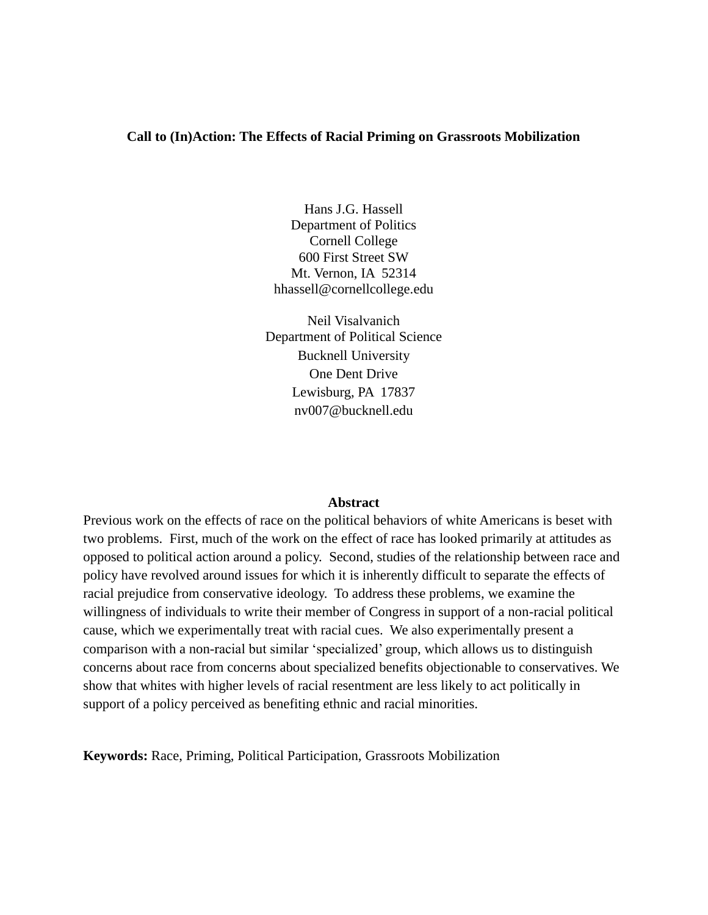## **Call to (In)Action: The Effects of Racial Priming on Grassroots Mobilization**

Hans J.G. Hassell Department of Politics Cornell College 600 First Street SW Mt. Vernon, IA 52314 hhassell@cornellcollege.edu

Neil Visalvanich Department of Political Science Bucknell University One Dent Drive Lewisburg, PA 17837 nv007@bucknell.edu

#### **Abstract**

Previous work on the effects of race on the political behaviors of white Americans is beset with two problems. First, much of the work on the effect of race has looked primarily at attitudes as opposed to political action around a policy. Second, studies of the relationship between race and policy have revolved around issues for which it is inherently difficult to separate the effects of racial prejudice from conservative ideology. To address these problems, we examine the willingness of individuals to write their member of Congress in support of a non-racial political cause, which we experimentally treat with racial cues. We also experimentally present a comparison with a non-racial but similar 'specialized' group, which allows us to distinguish concerns about race from concerns about specialized benefits objectionable to conservatives. We show that whites with higher levels of racial resentment are less likely to act politically in support of a policy perceived as benefiting ethnic and racial minorities.

**Keywords:** Race, Priming, Political Participation, Grassroots Mobilization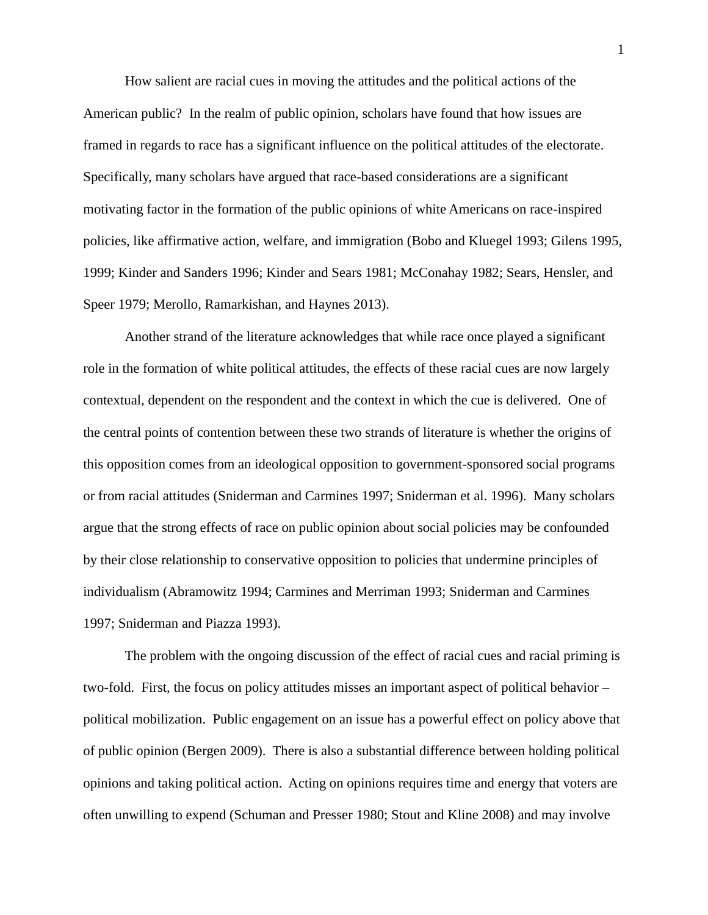How salient are racial cues in moving the attitudes and the political actions of the American public? In the realm of public opinion, scholars have found that how issues are framed in regards to race has a significant influence on the political attitudes of the electorate. Specifically, many scholars have argued that race-based considerations are a significant motivating factor in the formation of the public opinions of white Americans on race-inspired policies, like affirmative action, welfare, and immigration (Bobo and Kluegel 1993; Gilens 1995, 1999; Kinder and Sanders 1996; Kinder and Sears 1981; McConahay 1982; Sears, Hensler, and Speer 1979; Merollo, Ramarkishan, and Haynes 2013).

Another strand of the literature acknowledges that while race once played a significant role in the formation of white political attitudes, the effects of these racial cues are now largely contextual, dependent on the respondent and the context in which the cue is delivered. One of the central points of contention between these two strands of literature is whether the origins of this opposition comes from an ideological opposition to government-sponsored social programs or from racial attitudes (Sniderman and Carmines 1997; Sniderman et al. 1996). Many scholars argue that the strong effects of race on public opinion about social policies may be confounded by their close relationship to conservative opposition to policies that undermine principles of individualism (Abramowitz 1994; Carmines and Merriman 1993; Sniderman and Carmines 1997; Sniderman and Piazza 1993).

The problem with the ongoing discussion of the effect of racial cues and racial priming is two-fold. First, the focus on policy attitudes misses an important aspect of political behavior – political mobilization. Public engagement on an issue has a powerful effect on policy above that of public opinion (Bergen 2009). There is also a substantial difference between holding political opinions and taking political action. Acting on opinions requires time and energy that voters are often unwilling to expend (Schuman and Presser 1980; Stout and Kline 2008) and may involve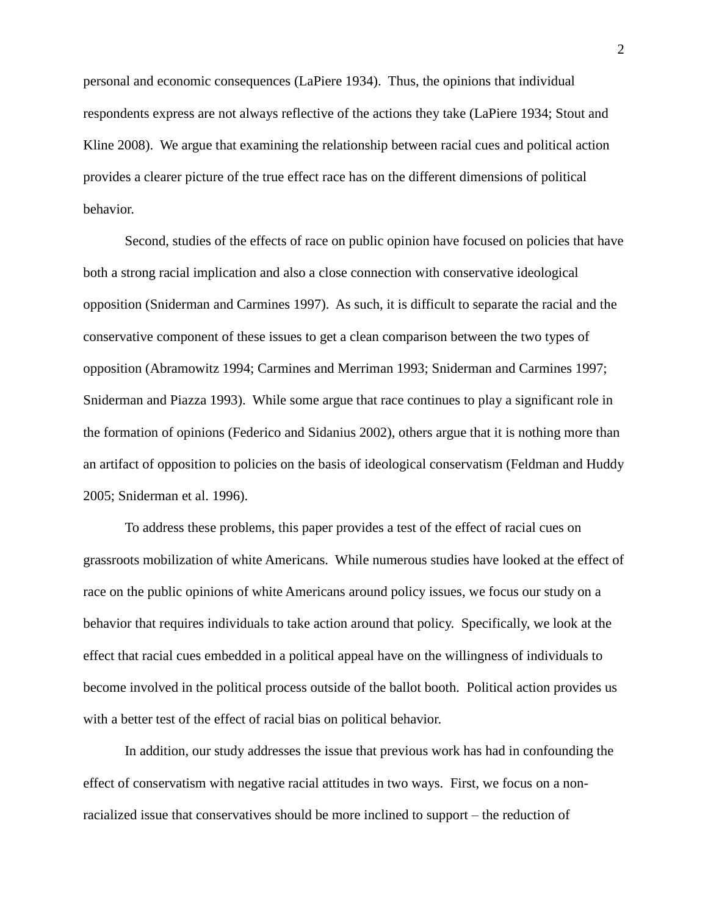personal and economic consequences (LaPiere 1934). Thus, the opinions that individual respondents express are not always reflective of the actions they take (LaPiere 1934; Stout and Kline 2008). We argue that examining the relationship between racial cues and political action provides a clearer picture of the true effect race has on the different dimensions of political behavior.

Second, studies of the effects of race on public opinion have focused on policies that have both a strong racial implication and also a close connection with conservative ideological opposition (Sniderman and Carmines 1997). As such, it is difficult to separate the racial and the conservative component of these issues to get a clean comparison between the two types of opposition (Abramowitz 1994; Carmines and Merriman 1993; Sniderman and Carmines 1997; Sniderman and Piazza 1993). While some argue that race continues to play a significant role in the formation of opinions (Federico and Sidanius 2002), others argue that it is nothing more than an artifact of opposition to policies on the basis of ideological conservatism (Feldman and Huddy 2005; Sniderman et al. 1996).

To address these problems, this paper provides a test of the effect of racial cues on grassroots mobilization of white Americans. While numerous studies have looked at the effect of race on the public opinions of white Americans around policy issues, we focus our study on a behavior that requires individuals to take action around that policy. Specifically, we look at the effect that racial cues embedded in a political appeal have on the willingness of individuals to become involved in the political process outside of the ballot booth. Political action provides us with a better test of the effect of racial bias on political behavior.

In addition, our study addresses the issue that previous work has had in confounding the effect of conservatism with negative racial attitudes in two ways. First, we focus on a nonracialized issue that conservatives should be more inclined to support – the reduction of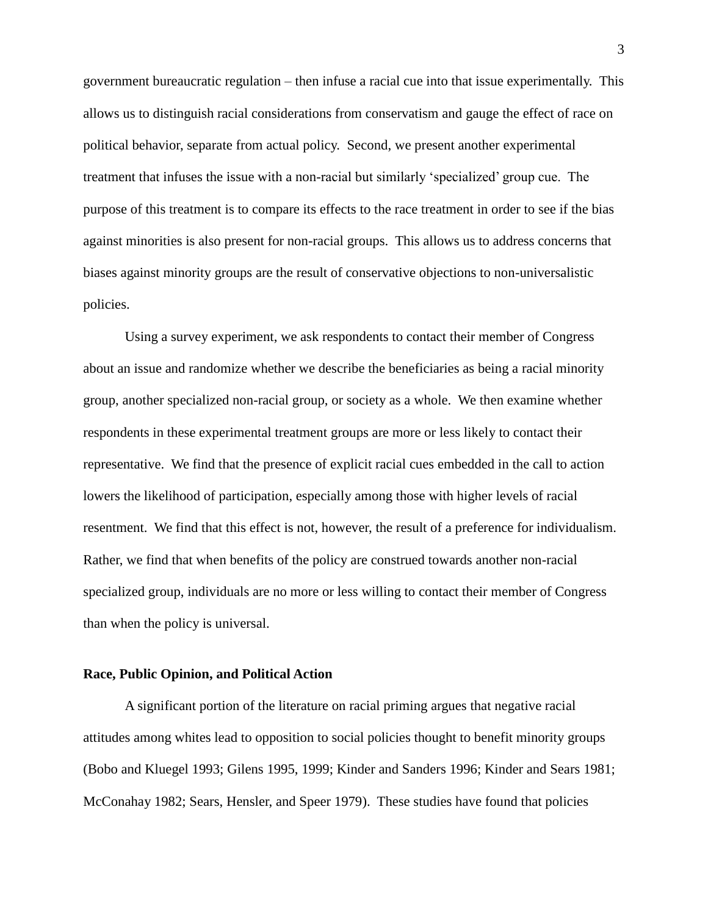government bureaucratic regulation – then infuse a racial cue into that issue experimentally. This allows us to distinguish racial considerations from conservatism and gauge the effect of race on political behavior, separate from actual policy. Second, we present another experimental treatment that infuses the issue with a non-racial but similarly 'specialized' group cue. The purpose of this treatment is to compare its effects to the race treatment in order to see if the bias against minorities is also present for non-racial groups. This allows us to address concerns that biases against minority groups are the result of conservative objections to non-universalistic policies.

Using a survey experiment, we ask respondents to contact their member of Congress about an issue and randomize whether we describe the beneficiaries as being a racial minority group, another specialized non-racial group, or society as a whole. We then examine whether respondents in these experimental treatment groups are more or less likely to contact their representative. We find that the presence of explicit racial cues embedded in the call to action lowers the likelihood of participation, especially among those with higher levels of racial resentment. We find that this effect is not, however, the result of a preference for individualism. Rather, we find that when benefits of the policy are construed towards another non-racial specialized group, individuals are no more or less willing to contact their member of Congress than when the policy is universal.

#### **Race, Public Opinion, and Political Action**

A significant portion of the literature on racial priming argues that negative racial attitudes among whites lead to opposition to social policies thought to benefit minority groups (Bobo and Kluegel 1993; Gilens 1995, 1999; Kinder and Sanders 1996; Kinder and Sears 1981; McConahay 1982; Sears, Hensler, and Speer 1979). These studies have found that policies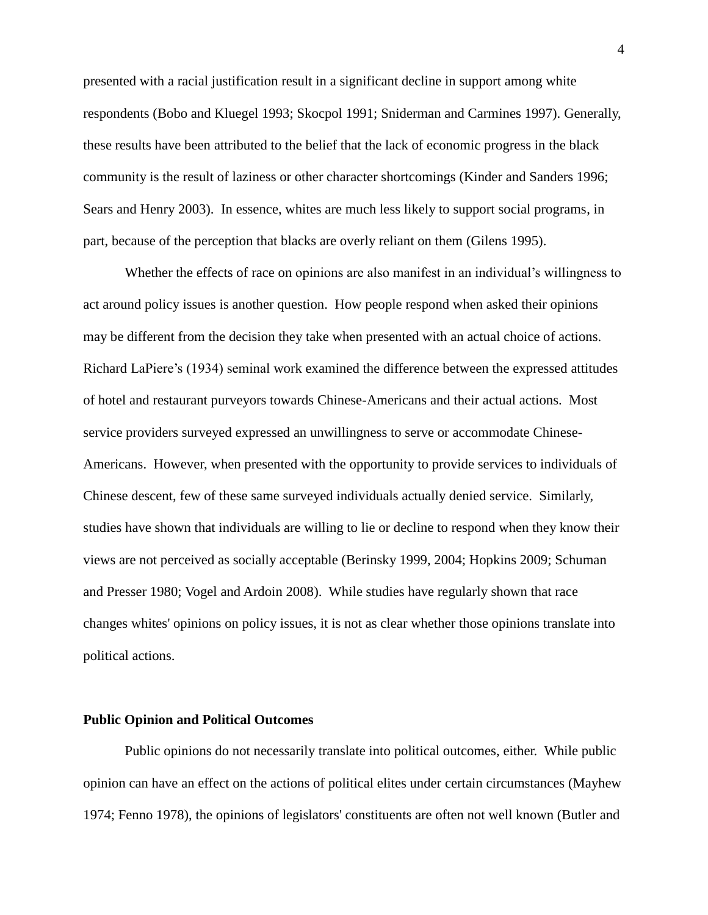presented with a racial justification result in a significant decline in support among white respondents (Bobo and Kluegel 1993; Skocpol 1991; Sniderman and Carmines 1997). Generally, these results have been attributed to the belief that the lack of economic progress in the black community is the result of laziness or other character shortcomings (Kinder and Sanders 1996; Sears and Henry 2003). In essence, whites are much less likely to support social programs, in part, because of the perception that blacks are overly reliant on them (Gilens 1995).

Whether the effects of race on opinions are also manifest in an individual's willingness to act around policy issues is another question. How people respond when asked their opinions may be different from the decision they take when presented with an actual choice of actions. Richard LaPiere's (1934) seminal work examined the difference between the expressed attitudes of hotel and restaurant purveyors towards Chinese-Americans and their actual actions. Most service providers surveyed expressed an unwillingness to serve or accommodate Chinese-Americans. However, when presented with the opportunity to provide services to individuals of Chinese descent, few of these same surveyed individuals actually denied service. Similarly, studies have shown that individuals are willing to lie or decline to respond when they know their views are not perceived as socially acceptable (Berinsky 1999, 2004; Hopkins 2009; Schuman and Presser 1980; Vogel and Ardoin 2008). While studies have regularly shown that race changes whites' opinions on policy issues, it is not as clear whether those opinions translate into political actions.

#### **Public Opinion and Political Outcomes**

Public opinions do not necessarily translate into political outcomes, either. While public opinion can have an effect on the actions of political elites under certain circumstances (Mayhew 1974; Fenno 1978), the opinions of legislators' constituents are often not well known (Butler and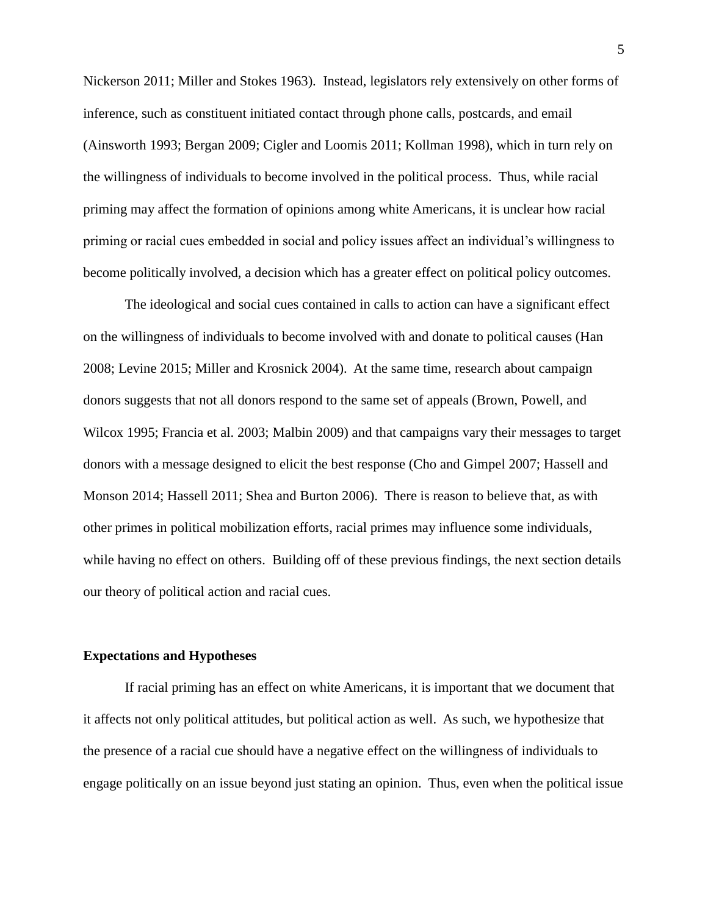Nickerson 2011; Miller and Stokes 1963). Instead, legislators rely extensively on other forms of inference, such as constituent initiated contact through phone calls, postcards, and email (Ainsworth 1993; Bergan 2009; Cigler and Loomis 2011; Kollman 1998), which in turn rely on the willingness of individuals to become involved in the political process. Thus, while racial priming may affect the formation of opinions among white Americans, it is unclear how racial priming or racial cues embedded in social and policy issues affect an individual's willingness to become politically involved, a decision which has a greater effect on political policy outcomes.

The ideological and social cues contained in calls to action can have a significant effect on the willingness of individuals to become involved with and donate to political causes (Han 2008; Levine 2015; Miller and Krosnick 2004). At the same time, research about campaign donors suggests that not all donors respond to the same set of appeals (Brown, Powell, and Wilcox 1995; Francia et al. 2003; Malbin 2009) and that campaigns vary their messages to target donors with a message designed to elicit the best response (Cho and Gimpel 2007; Hassell and Monson 2014; Hassell 2011; Shea and Burton 2006). There is reason to believe that, as with other primes in political mobilization efforts, racial primes may influence some individuals, while having no effect on others. Building off of these previous findings, the next section details our theory of political action and racial cues.

#### **Expectations and Hypotheses**

If racial priming has an effect on white Americans, it is important that we document that it affects not only political attitudes, but political action as well. As such, we hypothesize that the presence of a racial cue should have a negative effect on the willingness of individuals to engage politically on an issue beyond just stating an opinion. Thus, even when the political issue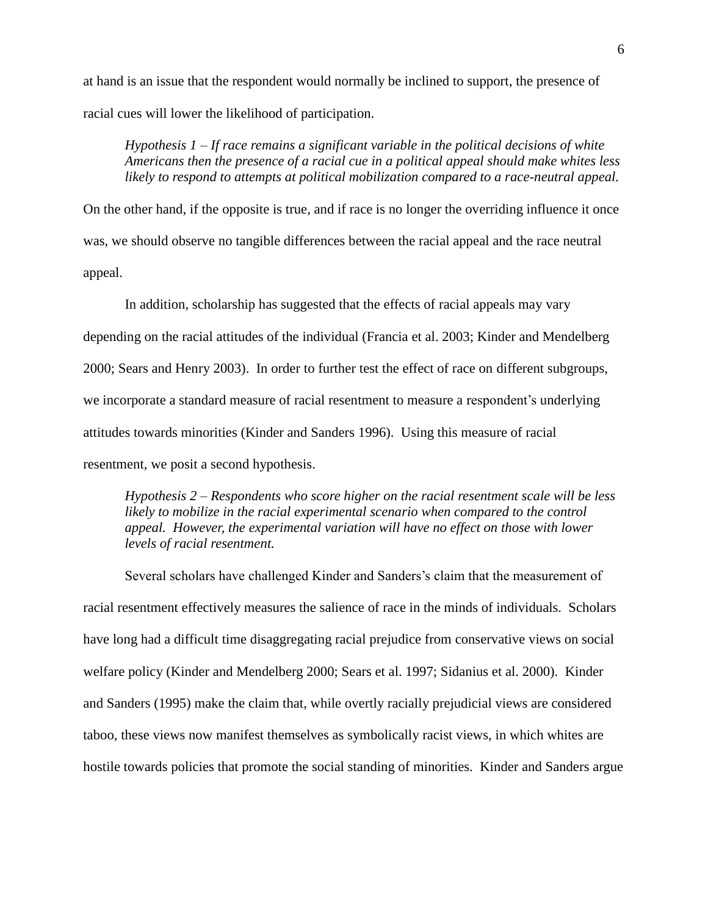at hand is an issue that the respondent would normally be inclined to support, the presence of racial cues will lower the likelihood of participation.

*Hypothesis 1 – If race remains a significant variable in the political decisions of white Americans then the presence of a racial cue in a political appeal should make whites less likely to respond to attempts at political mobilization compared to a race-neutral appeal.* 

On the other hand, if the opposite is true, and if race is no longer the overriding influence it once was, we should observe no tangible differences between the racial appeal and the race neutral appeal.

In addition, scholarship has suggested that the effects of racial appeals may vary depending on the racial attitudes of the individual (Francia et al. 2003; Kinder and Mendelberg 2000; Sears and Henry 2003). In order to further test the effect of race on different subgroups, we incorporate a standard measure of racial resentment to measure a respondent's underlying attitudes towards minorities (Kinder and Sanders 1996). Using this measure of racial resentment, we posit a second hypothesis.

*Hypothesis 2 – Respondents who score higher on the racial resentment scale will be less likely to mobilize in the racial experimental scenario when compared to the control appeal. However, the experimental variation will have no effect on those with lower levels of racial resentment.*

Several scholars have challenged Kinder and Sanders's claim that the measurement of racial resentment effectively measures the salience of race in the minds of individuals. Scholars have long had a difficult time disaggregating racial prejudice from conservative views on social welfare policy (Kinder and Mendelberg 2000; Sears et al. 1997; Sidanius et al. 2000). Kinder and Sanders (1995) make the claim that, while overtly racially prejudicial views are considered taboo, these views now manifest themselves as symbolically racist views, in which whites are hostile towards policies that promote the social standing of minorities. Kinder and Sanders argue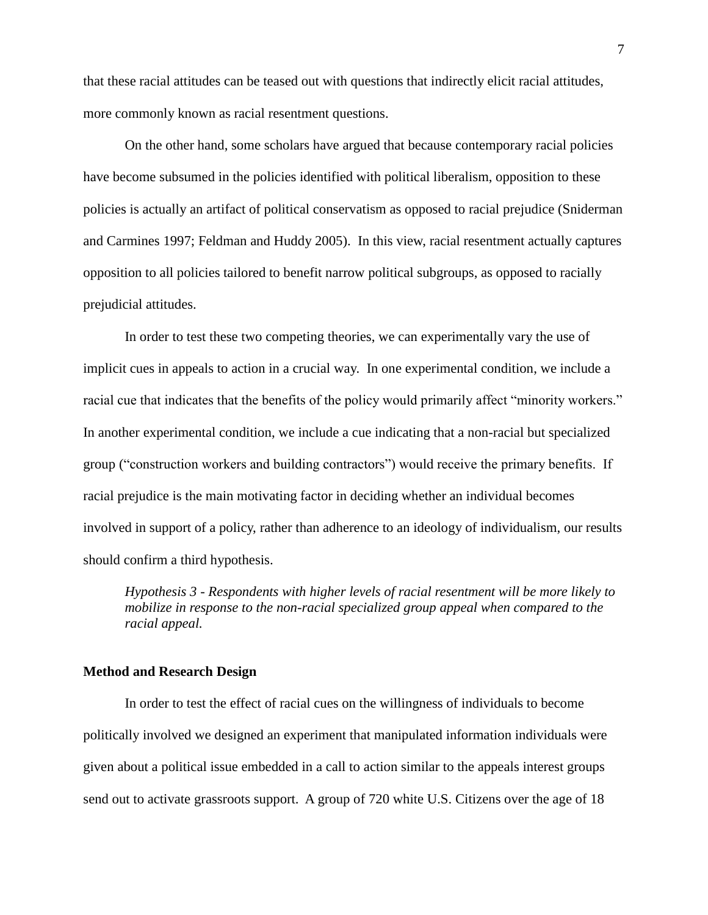that these racial attitudes can be teased out with questions that indirectly elicit racial attitudes, more commonly known as racial resentment questions.

On the other hand, some scholars have argued that because contemporary racial policies have become subsumed in the policies identified with political liberalism, opposition to these policies is actually an artifact of political conservatism as opposed to racial prejudice (Sniderman and Carmines 1997; Feldman and Huddy 2005). In this view, racial resentment actually captures opposition to all policies tailored to benefit narrow political subgroups, as opposed to racially prejudicial attitudes.

In order to test these two competing theories, we can experimentally vary the use of implicit cues in appeals to action in a crucial way. In one experimental condition, we include a racial cue that indicates that the benefits of the policy would primarily affect "minority workers." In another experimental condition, we include a cue indicating that a non-racial but specialized group ("construction workers and building contractors") would receive the primary benefits. If racial prejudice is the main motivating factor in deciding whether an individual becomes involved in support of a policy, rather than adherence to an ideology of individualism, our results should confirm a third hypothesis.

*Hypothesis 3 - Respondents with higher levels of racial resentment will be more likely to mobilize in response to the non-racial specialized group appeal when compared to the racial appeal.*

#### **Method and Research Design**

In order to test the effect of racial cues on the willingness of individuals to become politically involved we designed an experiment that manipulated information individuals were given about a political issue embedded in a call to action similar to the appeals interest groups send out to activate grassroots support. A group of 720 white U.S. Citizens over the age of 18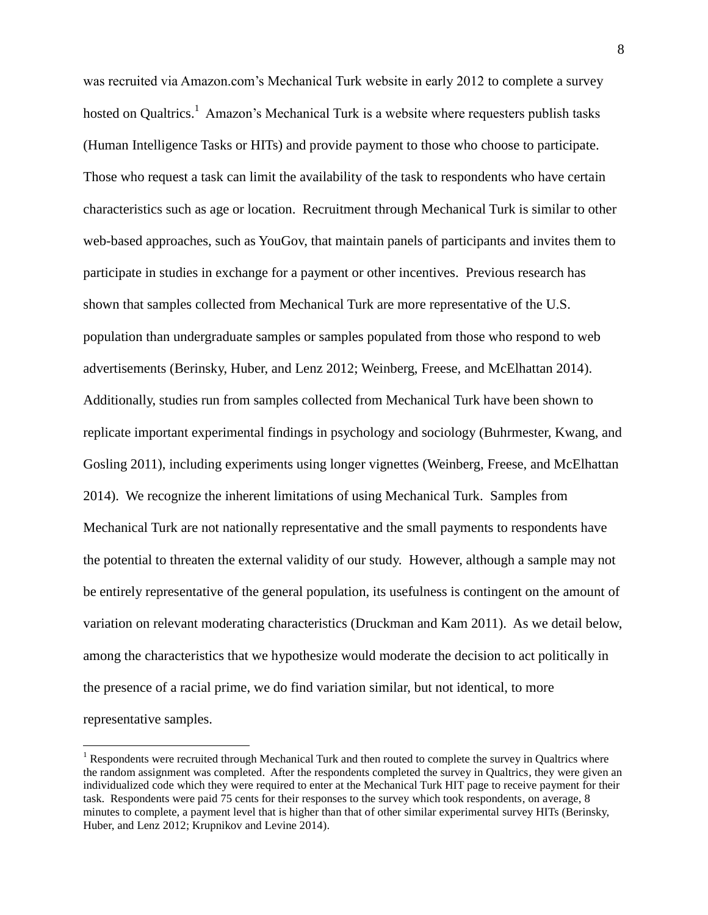was recruited via Amazon.com's Mechanical Turk website in early 2012 to complete a survey hosted on Qualtrics.<sup>1</sup> Amazon's Mechanical Turk is a website where requesters publish tasks (Human Intelligence Tasks or HITs) and provide payment to those who choose to participate. Those who request a task can limit the availability of the task to respondents who have certain characteristics such as age or location. Recruitment through Mechanical Turk is similar to other web-based approaches, such as YouGov, that maintain panels of participants and invites them to participate in studies in exchange for a payment or other incentives. Previous research has shown that samples collected from Mechanical Turk are more representative of the U.S. population than undergraduate samples or samples populated from those who respond to web advertisements (Berinsky, Huber, and Lenz 2012; Weinberg, Freese, and McElhattan 2014). Additionally, studies run from samples collected from Mechanical Turk have been shown to replicate important experimental findings in psychology and sociology (Buhrmester, Kwang, and Gosling 2011), including experiments using longer vignettes (Weinberg, Freese, and McElhattan 2014). We recognize the inherent limitations of using Mechanical Turk. Samples from Mechanical Turk are not nationally representative and the small payments to respondents have the potential to threaten the external validity of our study. However, although a sample may not be entirely representative of the general population, its usefulness is contingent on the amount of variation on relevant moderating characteristics (Druckman and Kam 2011). As we detail below, among the characteristics that we hypothesize would moderate the decision to act politically in the presence of a racial prime, we do find variation similar, but not identical, to more representative samples.

l

<sup>&</sup>lt;sup>1</sup> Respondents were recruited through Mechanical Turk and then routed to complete the survey in Qualtrics where the random assignment was completed. After the respondents completed the survey in Qualtrics, they were given an individualized code which they were required to enter at the Mechanical Turk HIT page to receive payment for their task. Respondents were paid 75 cents for their responses to the survey which took respondents, on average, 8 minutes to complete, a payment level that is higher than that of other similar experimental survey HITs (Berinsky, Huber, and Lenz 2012; Krupnikov and Levine 2014).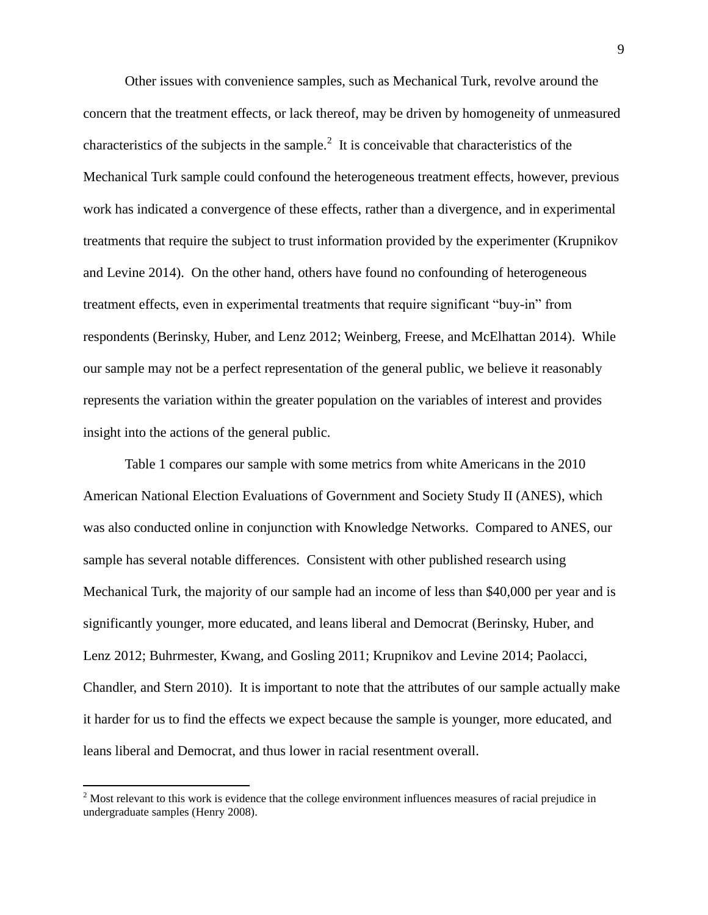Other issues with convenience samples, such as Mechanical Turk, revolve around the concern that the treatment effects, or lack thereof, may be driven by homogeneity of unmeasured characteristics of the subjects in the sample.<sup>2</sup> It is conceivable that characteristics of the Mechanical Turk sample could confound the heterogeneous treatment effects, however, previous work has indicated a convergence of these effects, rather than a divergence, and in experimental treatments that require the subject to trust information provided by the experimenter (Krupnikov and Levine 2014). On the other hand, others have found no confounding of heterogeneous treatment effects, even in experimental treatments that require significant "buy-in" from respondents (Berinsky, Huber, and Lenz 2012; Weinberg, Freese, and McElhattan 2014). While our sample may not be a perfect representation of the general public, we believe it reasonably represents the variation within the greater population on the variables of interest and provides insight into the actions of the general public.

Table 1 compares our sample with some metrics from white Americans in the 2010 American National Election Evaluations of Government and Society Study II (ANES), which was also conducted online in conjunction with Knowledge Networks. Compared to ANES, our sample has several notable differences. Consistent with other published research using Mechanical Turk, the majority of our sample had an income of less than \$40,000 per year and is significantly younger, more educated, and leans liberal and Democrat (Berinsky, Huber, and Lenz 2012; Buhrmester, Kwang, and Gosling 2011; Krupnikov and Levine 2014; Paolacci, Chandler, and Stern 2010). It is important to note that the attributes of our sample actually make it harder for us to find the effects we expect because the sample is younger, more educated, and leans liberal and Democrat, and thus lower in racial resentment overall.

 $\overline{\phantom{a}}$ 

<sup>&</sup>lt;sup>2</sup> Most relevant to this work is evidence that the college environment influences measures of racial prejudice in undergraduate samples (Henry 2008).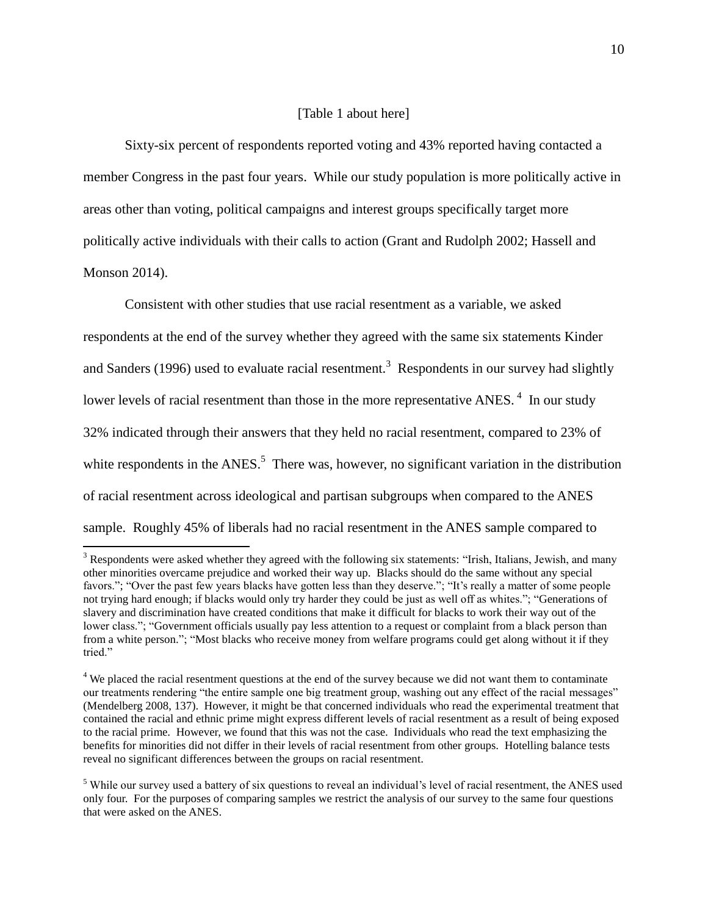## [Table 1 about here]

Sixty-six percent of respondents reported voting and 43% reported having contacted a member Congress in the past four years. While our study population is more politically active in areas other than voting, political campaigns and interest groups specifically target more politically active individuals with their calls to action (Grant and Rudolph 2002; Hassell and Monson 2014).

Consistent with other studies that use racial resentment as a variable, we asked respondents at the end of the survey whether they agreed with the same six statements Kinder and Sanders (1996) used to evaluate racial resentment.<sup>3</sup> Respondents in our survey had slightly lower levels of racial resentment than those in the more representative ANES.<sup>4</sup> In our study 32% indicated through their answers that they held no racial resentment, compared to 23% of white respondents in the  $ANES$ <sup>5</sup>. There was, however, no significant variation in the distribution of racial resentment across ideological and partisan subgroups when compared to the ANES sample. Roughly 45% of liberals had no racial resentment in the ANES sample compared to

l

 $3$  Respondents were asked whether they agreed with the following six statements: "Irish, Italians, Jewish, and many other minorities overcame prejudice and worked their way up. Blacks should do the same without any special favors."; "Over the past few years blacks have gotten less than they deserve."; "It's really a matter of some people not trying hard enough; if blacks would only try harder they could be just as well off as whites."; "Generations of slavery and discrimination have created conditions that make it difficult for blacks to work their way out of the lower class."; "Government officials usually pay less attention to a request or complaint from a black person than from a white person."; "Most blacks who receive money from welfare programs could get along without it if they tried."

<sup>&</sup>lt;sup>4</sup> We placed the racial resentment questions at the end of the survey because we did not want them to contaminate our treatments rendering "the entire sample one big treatment group, washing out any effect of the racial messages" (Mendelberg 2008, 137). However, it might be that concerned individuals who read the experimental treatment that contained the racial and ethnic prime might express different levels of racial resentment as a result of being exposed to the racial prime. However, we found that this was not the case. Individuals who read the text emphasizing the benefits for minorities did not differ in their levels of racial resentment from other groups. Hotelling balance tests reveal no significant differences between the groups on racial resentment.

<sup>&</sup>lt;sup>5</sup> While our survey used a battery of six questions to reveal an individual's level of racial resentment, the ANES used only four. For the purposes of comparing samples we restrict the analysis of our survey to the same four questions that were asked on the ANES.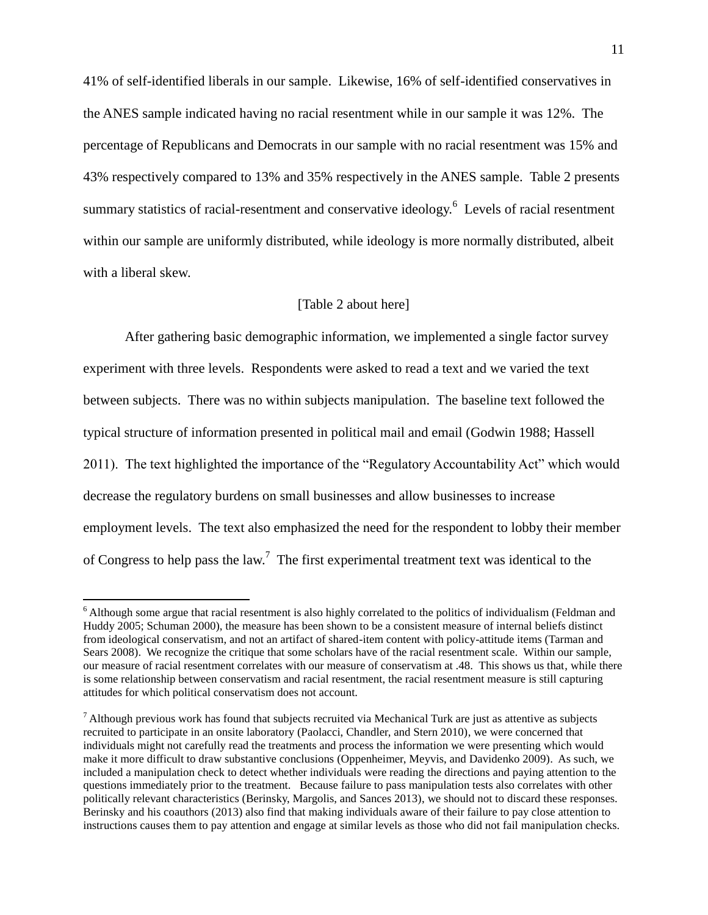41% of self-identified liberals in our sample. Likewise, 16% of self-identified conservatives in the ANES sample indicated having no racial resentment while in our sample it was 12%. The percentage of Republicans and Democrats in our sample with no racial resentment was 15% and 43% respectively compared to 13% and 35% respectively in the ANES sample. Table 2 presents summary statistics of racial-resentment and conservative ideology.<sup>6</sup> Levels of racial resentment within our sample are uniformly distributed, while ideology is more normally distributed, albeit with a liberal skew.

## [Table 2 about here]

After gathering basic demographic information, we implemented a single factor survey experiment with three levels. Respondents were asked to read a text and we varied the text between subjects. There was no within subjects manipulation. The baseline text followed the typical structure of information presented in political mail and email (Godwin 1988; Hassell 2011). The text highlighted the importance of the "Regulatory Accountability Act" which would decrease the regulatory burdens on small businesses and allow businesses to increase employment levels. The text also emphasized the need for the respondent to lobby their member of Congress to help pass the law.<sup>7</sup> The first experimental treatment text was identical to the

 $\overline{a}$ 

 $6$  Although some argue that racial resentment is also highly correlated to the politics of individualism (Feldman and Huddy 2005; Schuman 2000), the measure has been shown to be a consistent measure of internal beliefs distinct from ideological conservatism, and not an artifact of shared-item content with policy-attitude items (Tarman and Sears 2008). We recognize the critique that some scholars have of the racial resentment scale. Within our sample, our measure of racial resentment correlates with our measure of conservatism at .48. This shows us that, while there is some relationship between conservatism and racial resentment, the racial resentment measure is still capturing attitudes for which political conservatism does not account.

 $<sup>7</sup>$  Although previous work has found that subjects recruited via Mechanical Turk are just as attentive as subjects</sup> recruited to participate in an onsite laboratory (Paolacci, Chandler, and Stern 2010), we were concerned that individuals might not carefully read the treatments and process the information we were presenting which would make it more difficult to draw substantive conclusions (Oppenheimer, Meyvis, and Davidenko 2009). As such, we included a manipulation check to detect whether individuals were reading the directions and paying attention to the questions immediately prior to the treatment. Because failure to pass manipulation tests also correlates with other politically relevant characteristics (Berinsky, Margolis, and Sances 2013), we should not to discard these responses. Berinsky and his coauthors (2013) also find that making individuals aware of their failure to pay close attention to instructions causes them to pay attention and engage at similar levels as those who did not fail manipulation checks.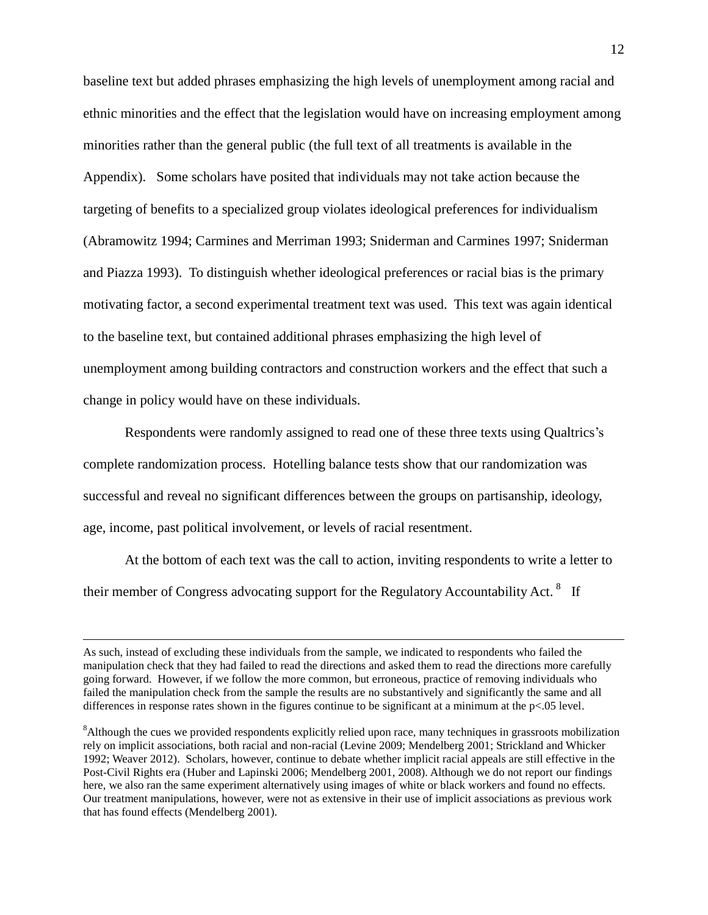baseline text but added phrases emphasizing the high levels of unemployment among racial and ethnic minorities and the effect that the legislation would have on increasing employment among minorities rather than the general public (the full text of all treatments is available in the Appendix). Some scholars have posited that individuals may not take action because the targeting of benefits to a specialized group violates ideological preferences for individualism (Abramowitz 1994; Carmines and Merriman 1993; Sniderman and Carmines 1997; Sniderman and Piazza 1993). To distinguish whether ideological preferences or racial bias is the primary motivating factor, a second experimental treatment text was used. This text was again identical to the baseline text, but contained additional phrases emphasizing the high level of unemployment among building contractors and construction workers and the effect that such a change in policy would have on these individuals.

Respondents were randomly assigned to read one of these three texts using Qualtrics's complete randomization process. Hotelling balance tests show that our randomization was successful and reveal no significant differences between the groups on partisanship, ideology, age, income, past political involvement, or levels of racial resentment.

At the bottom of each text was the call to action, inviting respondents to write a letter to their member of Congress advocating support for the Regulatory Accountability Act.  $8$  If

 $\overline{a}$ 

As such, instead of excluding these individuals from the sample, we indicated to respondents who failed the manipulation check that they had failed to read the directions and asked them to read the directions more carefully going forward. However, if we follow the more common, but erroneous, practice of removing individuals who failed the manipulation check from the sample the results are no substantively and significantly the same and all differences in response rates shown in the figures continue to be significant at a minimum at the p<.05 level.

<sup>&</sup>lt;sup>8</sup>Although the cues we provided respondents explicitly relied upon race, many techniques in grassroots mobilization rely on implicit associations, both racial and non-racial (Levine 2009; Mendelberg 2001; Strickland and Whicker 1992; Weaver 2012). Scholars, however, continue to debate whether implicit racial appeals are still effective in the Post-Civil Rights era (Huber and Lapinski 2006; Mendelberg 2001, 2008). Although we do not report our findings here, we also ran the same experiment alternatively using images of white or black workers and found no effects. Our treatment manipulations, however, were not as extensive in their use of implicit associations as previous work that has found effects (Mendelberg 2001).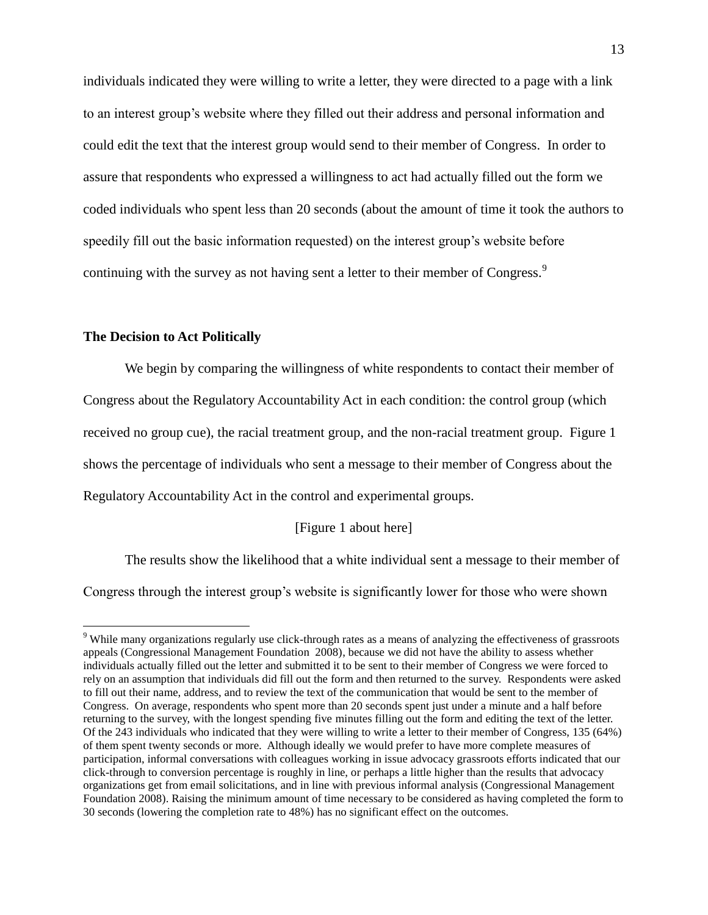individuals indicated they were willing to write a letter, they were directed to a page with a link to an interest group's website where they filled out their address and personal information and could edit the text that the interest group would send to their member of Congress. In order to assure that respondents who expressed a willingness to act had actually filled out the form we coded individuals who spent less than 20 seconds (about the amount of time it took the authors to speedily fill out the basic information requested) on the interest group's website before continuing with the survey as not having sent a letter to their member of Congress.<sup>9</sup>

# **The Decision to Act Politically**

 $\overline{\phantom{a}}$ 

We begin by comparing the willingness of white respondents to contact their member of Congress about the Regulatory Accountability Act in each condition: the control group (which received no group cue), the racial treatment group, and the non-racial treatment group. Figure 1 shows the percentage of individuals who sent a message to their member of Congress about the Regulatory Accountability Act in the control and experimental groups.

# [Figure 1 about here]

The results show the likelihood that a white individual sent a message to their member of Congress through the interest group's website is significantly lower for those who were shown

<sup>&</sup>lt;sup>9</sup> While many organizations regularly use click-through rates as a means of analyzing the effectiveness of grassroots appeals (Congressional Management Foundation 2008), because we did not have the ability to assess whether individuals actually filled out the letter and submitted it to be sent to their member of Congress we were forced to rely on an assumption that individuals did fill out the form and then returned to the survey. Respondents were asked to fill out their name, address, and to review the text of the communication that would be sent to the member of Congress. On average, respondents who spent more than 20 seconds spent just under a minute and a half before returning to the survey, with the longest spending five minutes filling out the form and editing the text of the letter. Of the 243 individuals who indicated that they were willing to write a letter to their member of Congress, 135 (64%) of them spent twenty seconds or more. Although ideally we would prefer to have more complete measures of participation, informal conversations with colleagues working in issue advocacy grassroots efforts indicated that our click-through to conversion percentage is roughly in line, or perhaps a little higher than the results that advocacy organizations get from email solicitations, and in line with previous informal analysis (Congressional Management Foundation 2008). Raising the minimum amount of time necessary to be considered as having completed the form to 30 seconds (lowering the completion rate to 48%) has no significant effect on the outcomes.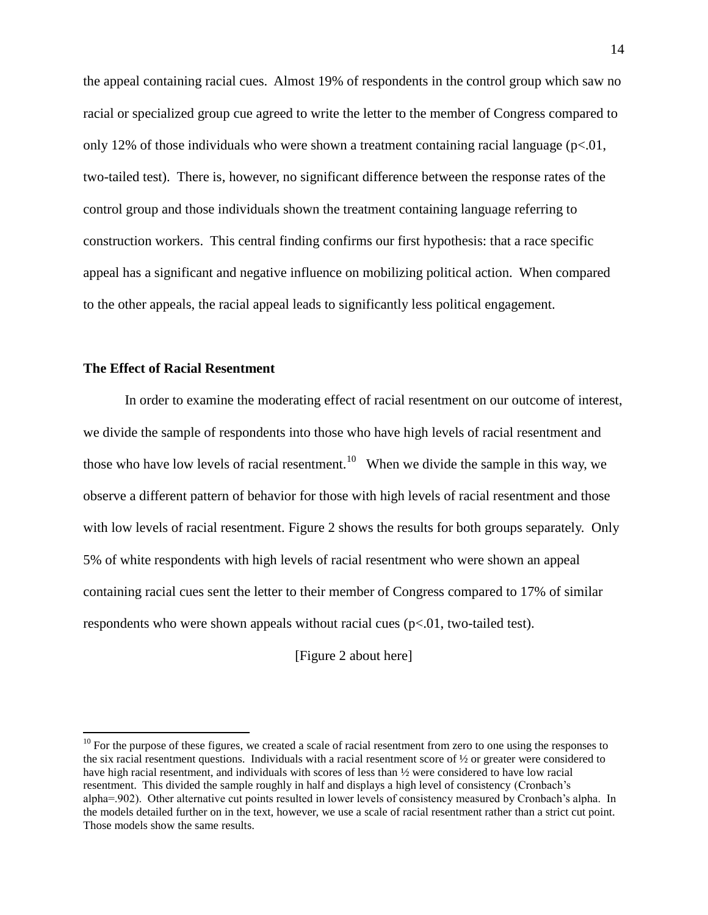the appeal containing racial cues. Almost 19% of respondents in the control group which saw no racial or specialized group cue agreed to write the letter to the member of Congress compared to only 12% of those individuals who were shown a treatment containing racial language  $(p<0.01,$ two-tailed test). There is, however, no significant difference between the response rates of the control group and those individuals shown the treatment containing language referring to construction workers. This central finding confirms our first hypothesis: that a race specific appeal has a significant and negative influence on mobilizing political action. When compared to the other appeals, the racial appeal leads to significantly less political engagement.

# **The Effect of Racial Resentment**

 $\overline{\phantom{a}}$ 

In order to examine the moderating effect of racial resentment on our outcome of interest, we divide the sample of respondents into those who have high levels of racial resentment and those who have low levels of racial resentment.<sup>10</sup> When we divide the sample in this way, we observe a different pattern of behavior for those with high levels of racial resentment and those with low levels of racial resentment. Figure 2 shows the results for both groups separately. Only 5% of white respondents with high levels of racial resentment who were shown an appeal containing racial cues sent the letter to their member of Congress compared to 17% of similar respondents who were shown appeals without racial cues (p<.01, two-tailed test).

[Figure 2 about here]

 $10$  For the purpose of these figures, we created a scale of racial resentment from zero to one using the responses to the six racial resentment questions. Individuals with a racial resentment score of ½ or greater were considered to have high racial resentment, and individuals with scores of less than ½ were considered to have low racial resentment. This divided the sample roughly in half and displays a high level of consistency (Cronbach's alpha=.902). Other alternative cut points resulted in lower levels of consistency measured by Cronbach's alpha. In the models detailed further on in the text, however, we use a scale of racial resentment rather than a strict cut point. Those models show the same results.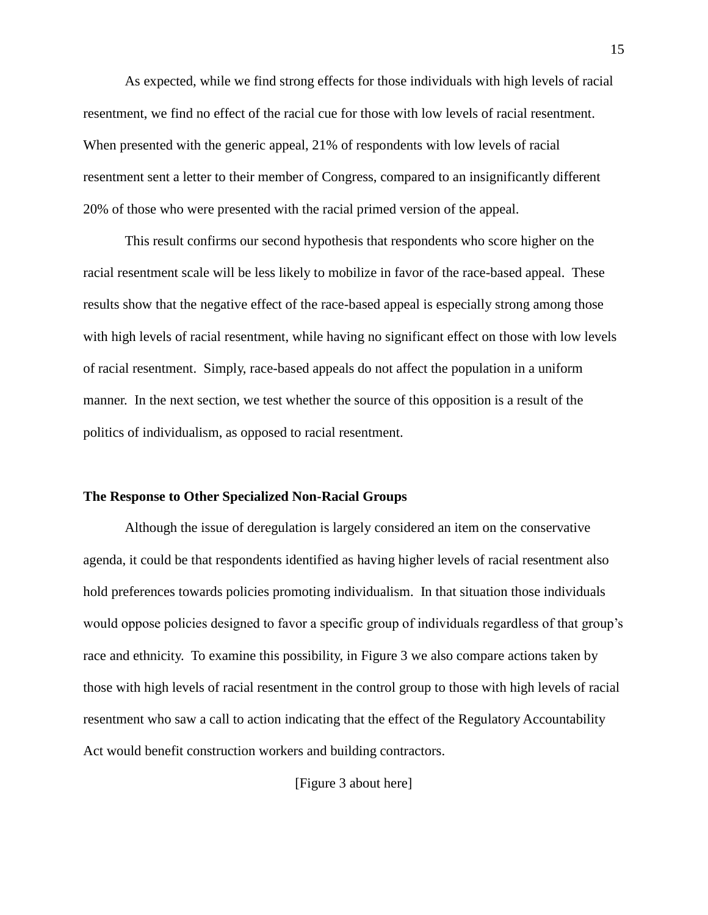As expected, while we find strong effects for those individuals with high levels of racial resentment, we find no effect of the racial cue for those with low levels of racial resentment. When presented with the generic appeal, 21% of respondents with low levels of racial resentment sent a letter to their member of Congress, compared to an insignificantly different 20% of those who were presented with the racial primed version of the appeal.

This result confirms our second hypothesis that respondents who score higher on the racial resentment scale will be less likely to mobilize in favor of the race-based appeal. These results show that the negative effect of the race-based appeal is especially strong among those with high levels of racial resentment, while having no significant effect on those with low levels of racial resentment. Simply, race-based appeals do not affect the population in a uniform manner. In the next section, we test whether the source of this opposition is a result of the politics of individualism, as opposed to racial resentment.

# **The Response to Other Specialized Non-Racial Groups**

Although the issue of deregulation is largely considered an item on the conservative agenda, it could be that respondents identified as having higher levels of racial resentment also hold preferences towards policies promoting individualism. In that situation those individuals would oppose policies designed to favor a specific group of individuals regardless of that group's race and ethnicity. To examine this possibility, in Figure 3 we also compare actions taken by those with high levels of racial resentment in the control group to those with high levels of racial resentment who saw a call to action indicating that the effect of the Regulatory Accountability Act would benefit construction workers and building contractors.

[Figure 3 about here]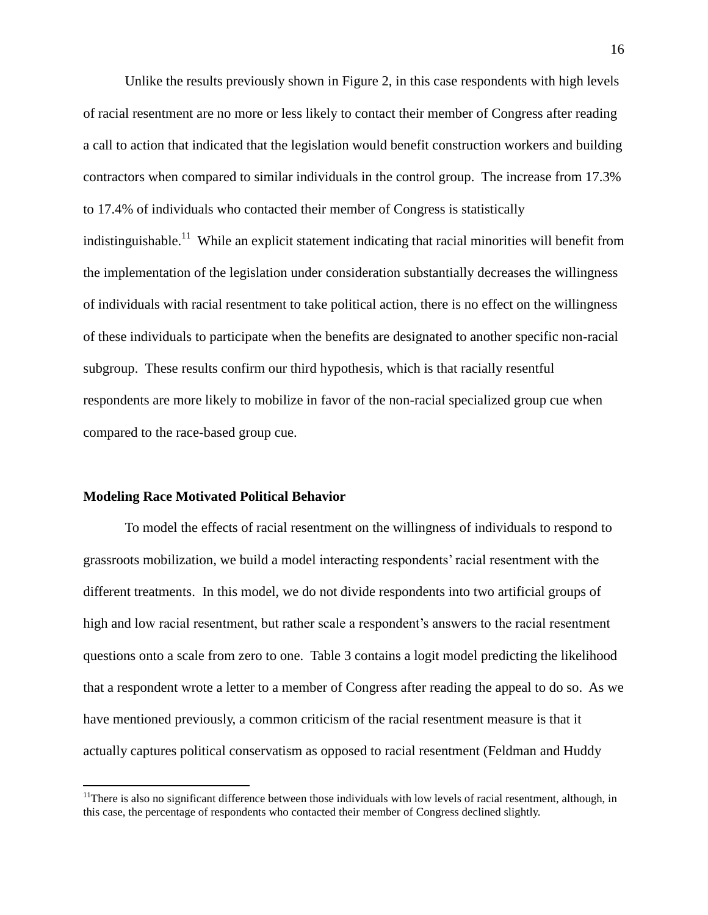Unlike the results previously shown in Figure 2, in this case respondents with high levels of racial resentment are no more or less likely to contact their member of Congress after reading a call to action that indicated that the legislation would benefit construction workers and building contractors when compared to similar individuals in the control group. The increase from 17.3% to 17.4% of individuals who contacted their member of Congress is statistically indistinguishable.<sup>11</sup> While an explicit statement indicating that racial minorities will benefit from the implementation of the legislation under consideration substantially decreases the willingness of individuals with racial resentment to take political action, there is no effect on the willingness of these individuals to participate when the benefits are designated to another specific non-racial subgroup. These results confirm our third hypothesis, which is that racially resentful respondents are more likely to mobilize in favor of the non-racial specialized group cue when compared to the race-based group cue.

## **Modeling Race Motivated Political Behavior**

 $\overline{\phantom{a}}$ 

To model the effects of racial resentment on the willingness of individuals to respond to grassroots mobilization, we build a model interacting respondents' racial resentment with the different treatments. In this model, we do not divide respondents into two artificial groups of high and low racial resentment, but rather scale a respondent's answers to the racial resentment questions onto a scale from zero to one. Table 3 contains a logit model predicting the likelihood that a respondent wrote a letter to a member of Congress after reading the appeal to do so. As we have mentioned previously, a common criticism of the racial resentment measure is that it actually captures political conservatism as opposed to racial resentment (Feldman and Huddy

 $<sup>11</sup>$ There is also no significant difference between those individuals with low levels of racial resentment, although, in</sup> this case, the percentage of respondents who contacted their member of Congress declined slightly.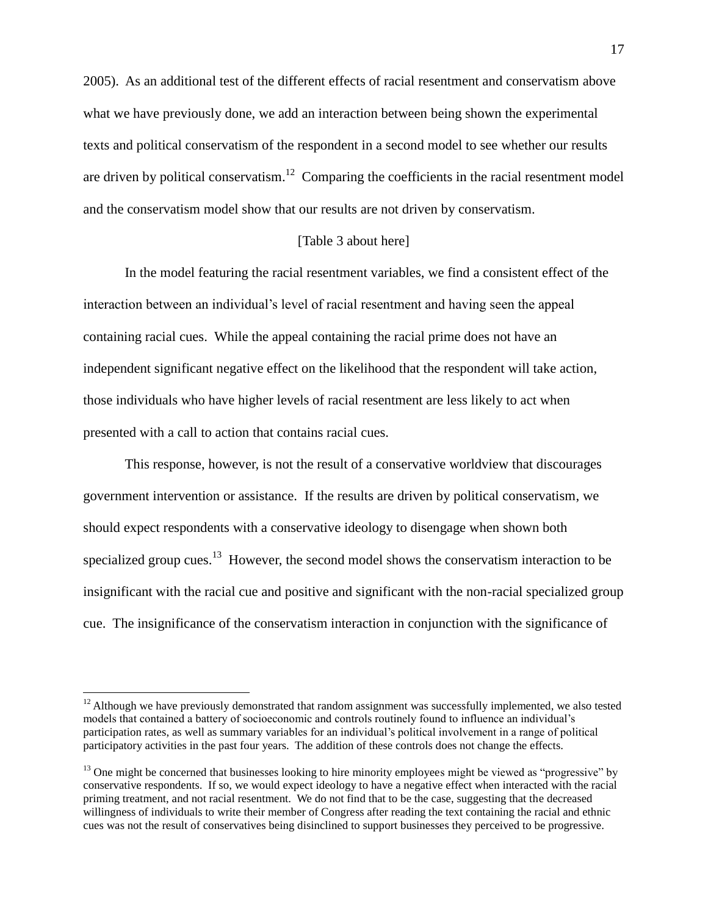2005). As an additional test of the different effects of racial resentment and conservatism above what we have previously done, we add an interaction between being shown the experimental texts and political conservatism of the respondent in a second model to see whether our results are driven by political conservatism.<sup>12</sup> Comparing the coefficients in the racial resentment model and the conservatism model show that our results are not driven by conservatism.

# [Table 3 about here]

In the model featuring the racial resentment variables, we find a consistent effect of the interaction between an individual's level of racial resentment and having seen the appeal containing racial cues. While the appeal containing the racial prime does not have an independent significant negative effect on the likelihood that the respondent will take action, those individuals who have higher levels of racial resentment are less likely to act when presented with a call to action that contains racial cues.

This response, however, is not the result of a conservative worldview that discourages government intervention or assistance. If the results are driven by political conservatism, we should expect respondents with a conservative ideology to disengage when shown both specialized group cues.<sup>13</sup> However, the second model shows the conservatism interaction to be insignificant with the racial cue and positive and significant with the non-racial specialized group cue. The insignificance of the conservatism interaction in conjunction with the significance of

 $\overline{\phantom{a}}$ 

 $12$  Although we have previously demonstrated that random assignment was successfully implemented, we also tested models that contained a battery of socioeconomic and controls routinely found to influence an individual's participation rates, as well as summary variables for an individual's political involvement in a range of political participatory activities in the past four years. The addition of these controls does not change the effects.

<sup>&</sup>lt;sup>13</sup> One might be concerned that businesses looking to hire minority employees might be viewed as "progressive" by conservative respondents. If so, we would expect ideology to have a negative effect when interacted with the racial priming treatment, and not racial resentment. We do not find that to be the case, suggesting that the decreased willingness of individuals to write their member of Congress after reading the text containing the racial and ethnic cues was not the result of conservatives being disinclined to support businesses they perceived to be progressive.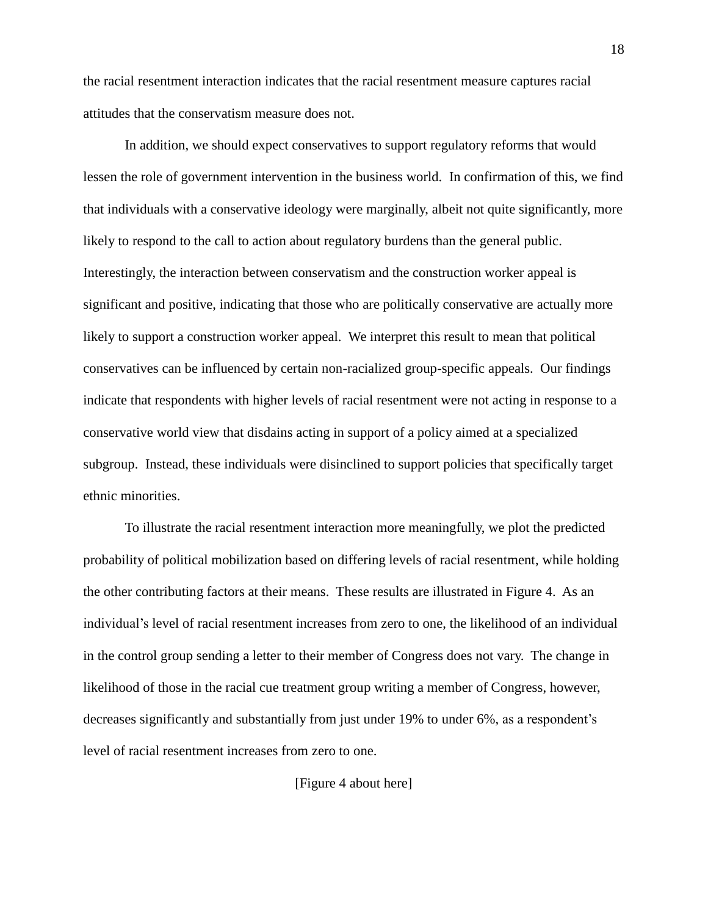the racial resentment interaction indicates that the racial resentment measure captures racial attitudes that the conservatism measure does not.

In addition, we should expect conservatives to support regulatory reforms that would lessen the role of government intervention in the business world. In confirmation of this, we find that individuals with a conservative ideology were marginally, albeit not quite significantly, more likely to respond to the call to action about regulatory burdens than the general public. Interestingly, the interaction between conservatism and the construction worker appeal is significant and positive, indicating that those who are politically conservative are actually more likely to support a construction worker appeal. We interpret this result to mean that political conservatives can be influenced by certain non-racialized group-specific appeals. Our findings indicate that respondents with higher levels of racial resentment were not acting in response to a conservative world view that disdains acting in support of a policy aimed at a specialized subgroup. Instead, these individuals were disinclined to support policies that specifically target ethnic minorities.

To illustrate the racial resentment interaction more meaningfully, we plot the predicted probability of political mobilization based on differing levels of racial resentment, while holding the other contributing factors at their means. These results are illustrated in Figure 4. As an individual's level of racial resentment increases from zero to one, the likelihood of an individual in the control group sending a letter to their member of Congress does not vary. The change in likelihood of those in the racial cue treatment group writing a member of Congress, however, decreases significantly and substantially from just under 19% to under 6%, as a respondent's level of racial resentment increases from zero to one.

[Figure 4 about here]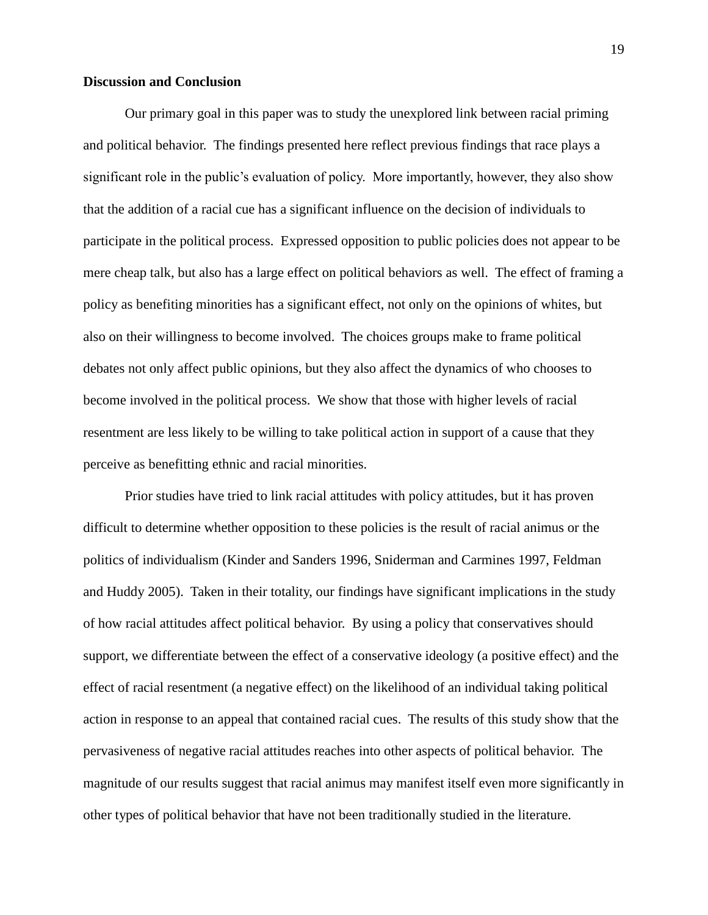#### **Discussion and Conclusion**

Our primary goal in this paper was to study the unexplored link between racial priming and political behavior. The findings presented here reflect previous findings that race plays a significant role in the public's evaluation of policy. More importantly, however, they also show that the addition of a racial cue has a significant influence on the decision of individuals to participate in the political process. Expressed opposition to public policies does not appear to be mere cheap talk, but also has a large effect on political behaviors as well. The effect of framing a policy as benefiting minorities has a significant effect, not only on the opinions of whites, but also on their willingness to become involved. The choices groups make to frame political debates not only affect public opinions, but they also affect the dynamics of who chooses to become involved in the political process. We show that those with higher levels of racial resentment are less likely to be willing to take political action in support of a cause that they perceive as benefitting ethnic and racial minorities.

Prior studies have tried to link racial attitudes with policy attitudes, but it has proven difficult to determine whether opposition to these policies is the result of racial animus or the politics of individualism (Kinder and Sanders 1996, Sniderman and Carmines 1997, Feldman and Huddy 2005). Taken in their totality, our findings have significant implications in the study of how racial attitudes affect political behavior. By using a policy that conservatives should support, we differentiate between the effect of a conservative ideology (a positive effect) and the effect of racial resentment (a negative effect) on the likelihood of an individual taking political action in response to an appeal that contained racial cues. The results of this study show that the pervasiveness of negative racial attitudes reaches into other aspects of political behavior. The magnitude of our results suggest that racial animus may manifest itself even more significantly in other types of political behavior that have not been traditionally studied in the literature.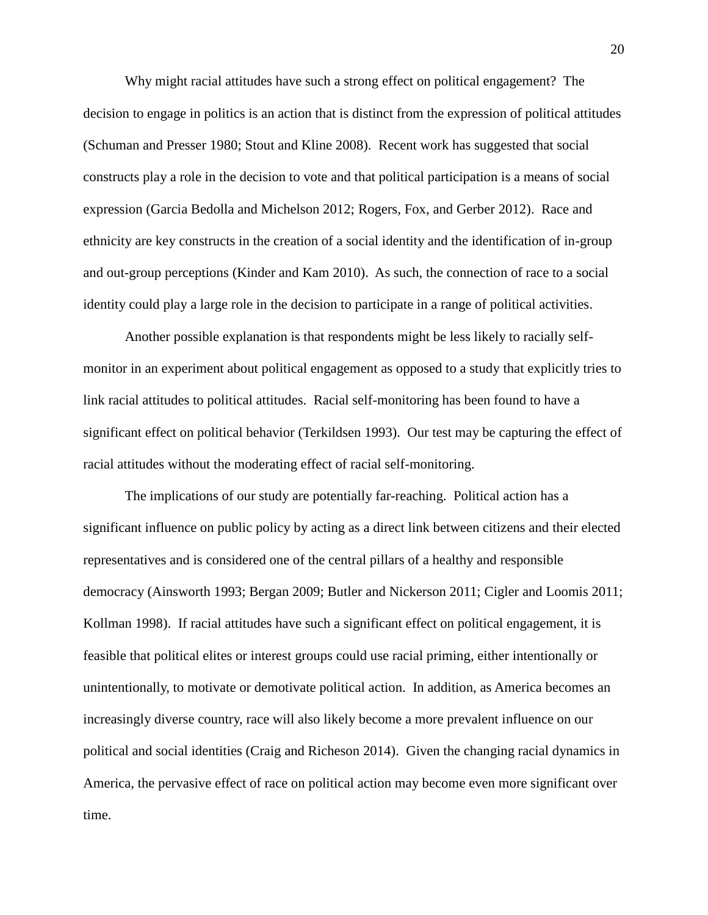Why might racial attitudes have such a strong effect on political engagement? The decision to engage in politics is an action that is distinct from the expression of political attitudes (Schuman and Presser 1980; Stout and Kline 2008). Recent work has suggested that social constructs play a role in the decision to vote and that political participation is a means of social expression (Garcia Bedolla and Michelson 2012; Rogers, Fox, and Gerber 2012). Race and ethnicity are key constructs in the creation of a social identity and the identification of in-group and out-group perceptions (Kinder and Kam 2010). As such, the connection of race to a social identity could play a large role in the decision to participate in a range of political activities.

Another possible explanation is that respondents might be less likely to racially selfmonitor in an experiment about political engagement as opposed to a study that explicitly tries to link racial attitudes to political attitudes. Racial self-monitoring has been found to have a significant effect on political behavior (Terkildsen 1993). Our test may be capturing the effect of racial attitudes without the moderating effect of racial self-monitoring.

The implications of our study are potentially far-reaching. Political action has a significant influence on public policy by acting as a direct link between citizens and their elected representatives and is considered one of the central pillars of a healthy and responsible democracy (Ainsworth 1993; Bergan 2009; Butler and Nickerson 2011; Cigler and Loomis 2011; Kollman 1998). If racial attitudes have such a significant effect on political engagement, it is feasible that political elites or interest groups could use racial priming, either intentionally or unintentionally, to motivate or demotivate political action. In addition, as America becomes an increasingly diverse country, race will also likely become a more prevalent influence on our political and social identities (Craig and Richeson 2014). Given the changing racial dynamics in America, the pervasive effect of race on political action may become even more significant over time.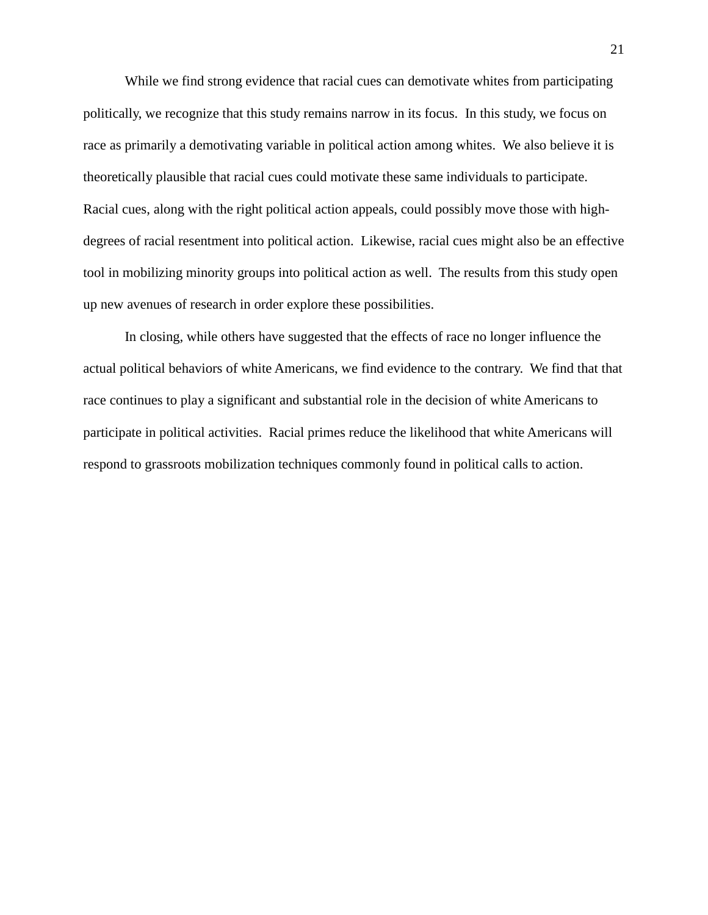While we find strong evidence that racial cues can demotivate whites from participating politically, we recognize that this study remains narrow in its focus. In this study, we focus on race as primarily a demotivating variable in political action among whites. We also believe it is theoretically plausible that racial cues could motivate these same individuals to participate. Racial cues, along with the right political action appeals, could possibly move those with highdegrees of racial resentment into political action. Likewise, racial cues might also be an effective tool in mobilizing minority groups into political action as well. The results from this study open up new avenues of research in order explore these possibilities.

In closing, while others have suggested that the effects of race no longer influence the actual political behaviors of white Americans, we find evidence to the contrary. We find that that race continues to play a significant and substantial role in the decision of white Americans to participate in political activities. Racial primes reduce the likelihood that white Americans will respond to grassroots mobilization techniques commonly found in political calls to action.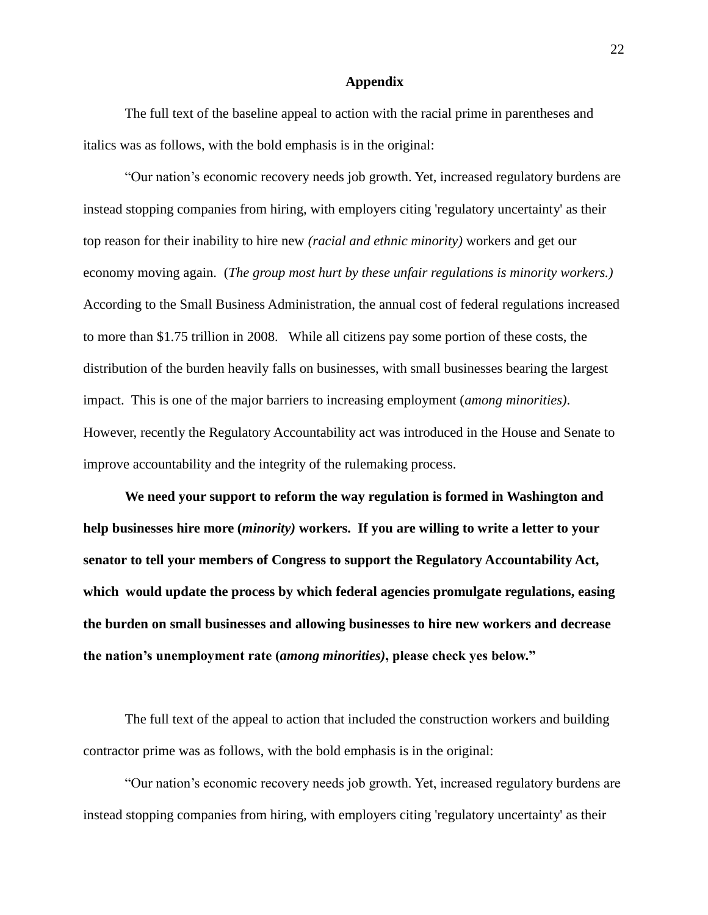#### **Appendix**

The full text of the baseline appeal to action with the racial prime in parentheses and italics was as follows, with the bold emphasis is in the original:

"Our nation's economic recovery needs job growth. Yet, increased regulatory burdens are instead stopping companies from hiring, with employers citing 'regulatory uncertainty' as their top reason for their inability to hire new *(racial and ethnic minority)* workers and get our economy moving again. (*The group most hurt by these unfair regulations is minority workers.)* According to the Small Business Administration, the annual cost of federal regulations increased to more than \$1.75 trillion in 2008. While all citizens pay some portion of these costs, the distribution of the burden heavily falls on businesses, with small businesses bearing the largest impact. This is one of the major barriers to increasing employment (*among minorities)*. However, recently the Regulatory Accountability act was introduced in the House and Senate to improve accountability and the integrity of the rulemaking process.

**We need your support to reform the way regulation is formed in Washington and help businesses hire more (***minority)* **workers. If you are willing to write a letter to your senator to tell your members of Congress to support the Regulatory Accountability Act, which would update the process by which federal agencies promulgate regulations, easing the burden on small businesses and allowing businesses to hire new workers and decrease the nation's unemployment rate (***among minorities)***, please check yes below."**

The full text of the appeal to action that included the construction workers and building contractor prime was as follows, with the bold emphasis is in the original:

"Our nation's economic recovery needs job growth. Yet, increased regulatory burdens are instead stopping companies from hiring, with employers citing 'regulatory uncertainty' as their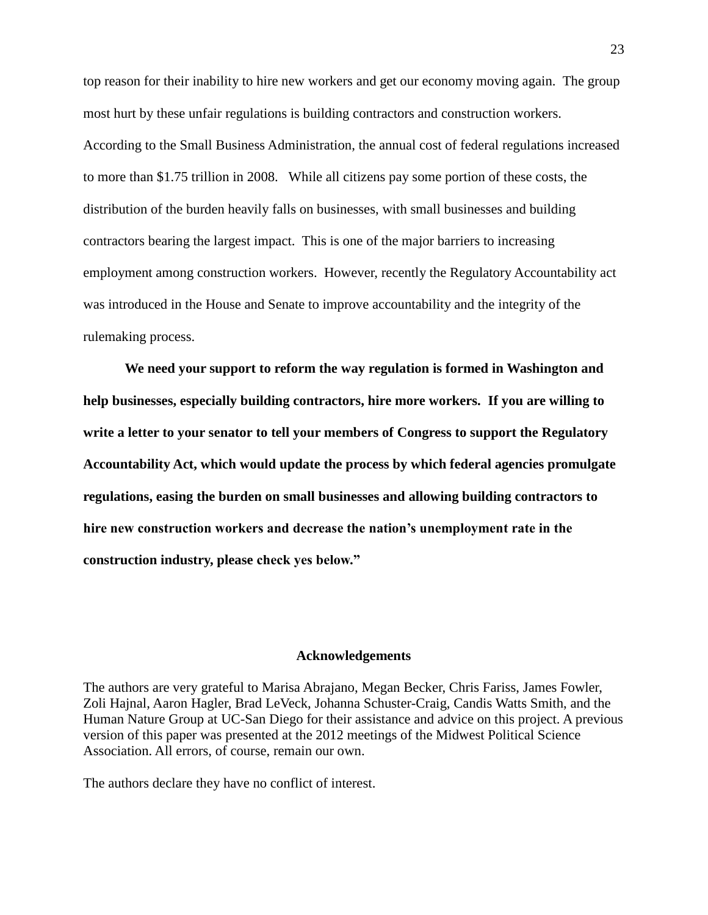top reason for their inability to hire new workers and get our economy moving again. The group most hurt by these unfair regulations is building contractors and construction workers. According to the Small Business Administration, the annual cost of federal regulations increased to more than \$1.75 trillion in 2008. While all citizens pay some portion of these costs, the distribution of the burden heavily falls on businesses, with small businesses and building contractors bearing the largest impact. This is one of the major barriers to increasing employment among construction workers. However, recently the Regulatory Accountability act was introduced in the House and Senate to improve accountability and the integrity of the rulemaking process.

**We need your support to reform the way regulation is formed in Washington and help businesses, especially building contractors, hire more workers. If you are willing to write a letter to your senator to tell your members of Congress to support the Regulatory Accountability Act, which would update the process by which federal agencies promulgate regulations, easing the burden on small businesses and allowing building contractors to hire new construction workers and decrease the nation's unemployment rate in the construction industry, please check yes below."** 

#### **Acknowledgements**

The authors are very grateful to Marisa Abrajano, Megan Becker, Chris Fariss, James Fowler, Zoli Hajnal, Aaron Hagler, Brad LeVeck, Johanna Schuster-Craig, Candis Watts Smith, and the Human Nature Group at UC-San Diego for their assistance and advice on this project. A previous version of this paper was presented at the 2012 meetings of the Midwest Political Science Association. All errors, of course, remain our own.

The authors declare they have no conflict of interest.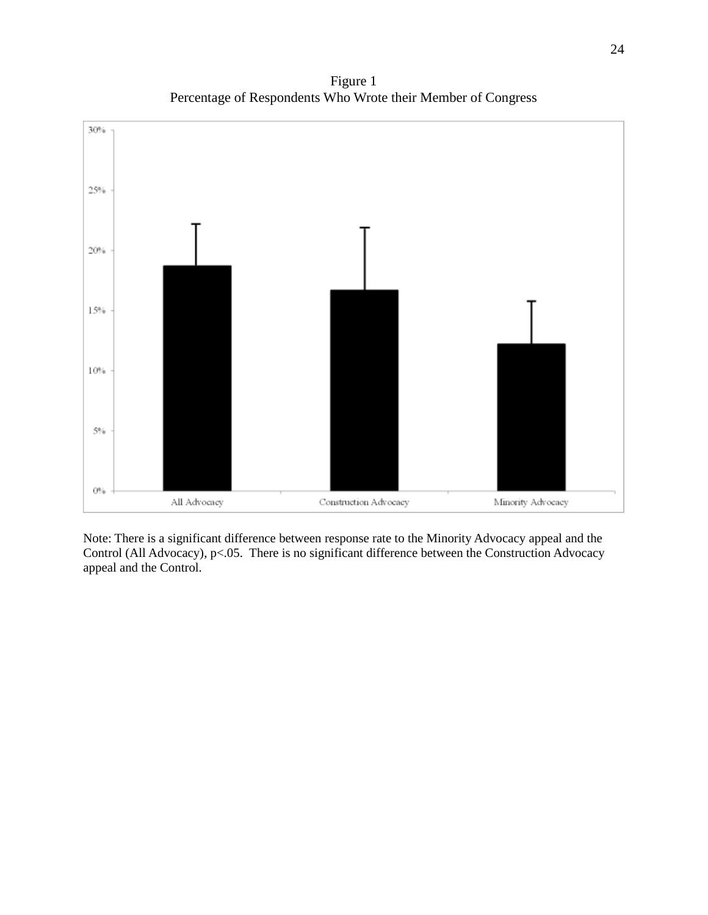Figure 1 Percentage of Respondents Who Wrote their Member of Congress



Note: There is a significant difference between response rate to the Minority Advocacy appeal and the Control (All Advocacy), p<.05. There is no significant difference between the Construction Advocacy appeal and the Control.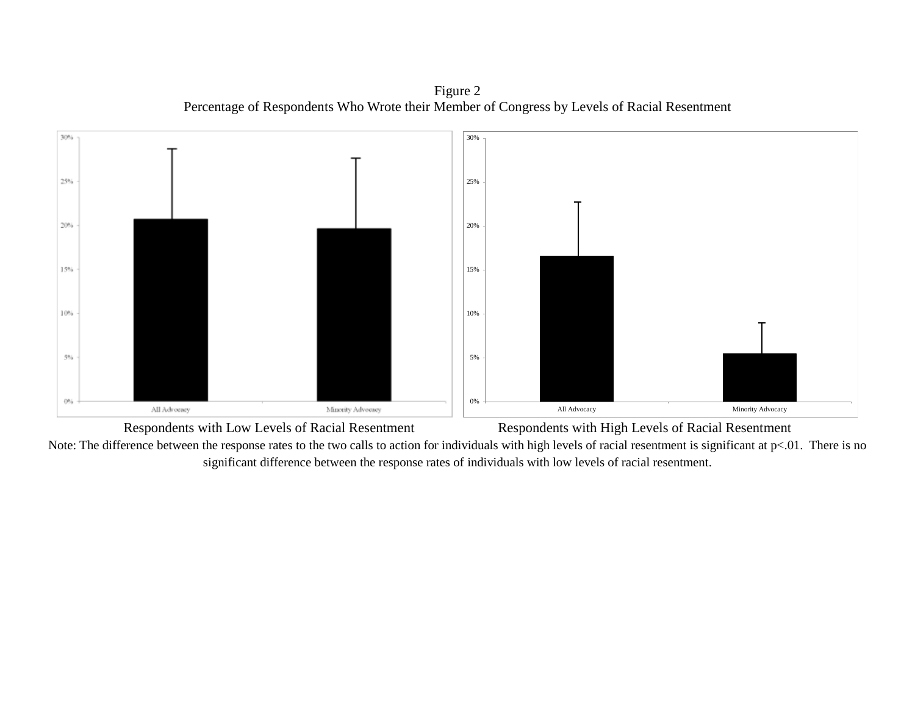Figure 2 Percentage of Respondents Who Wrote their Member of Congress by Levels of Racial Resentment



Note: The difference between the response rates to the two calls to action for individuals with high levels of racial resentment is significant at p<.01. There is no significant difference between the response rates of individuals with low levels of racial resentment.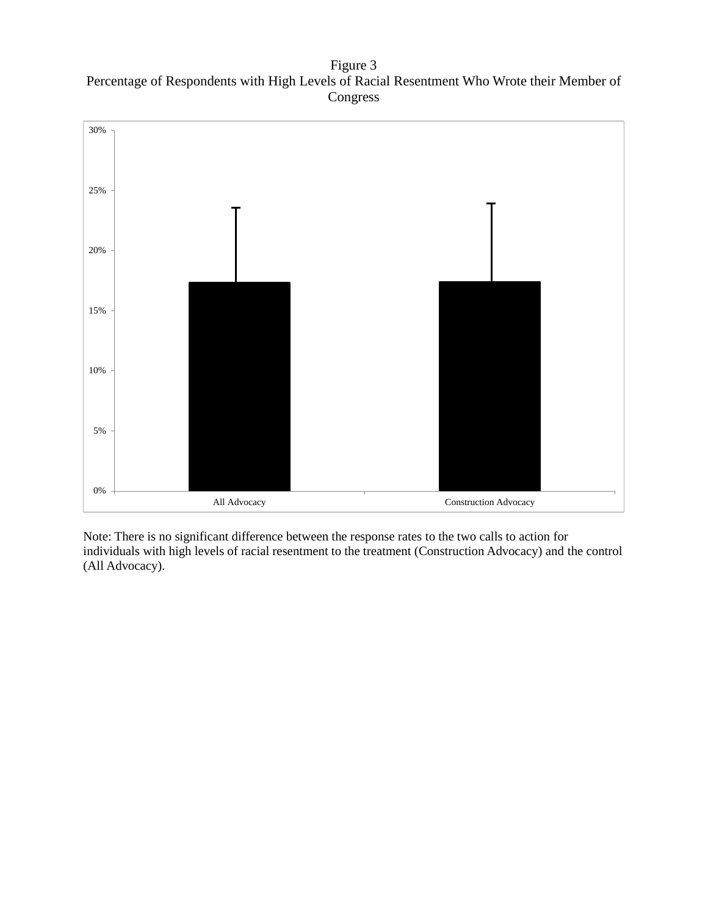# Figure 3 Percentage of Respondents with High Levels of Racial Resentment Who Wrote their Member of Congress



Note: There is no significant difference between the response rates to the two calls to action for individuals with high levels of racial resentment to the treatment (Construction Advocacy) and the control (All Advocacy).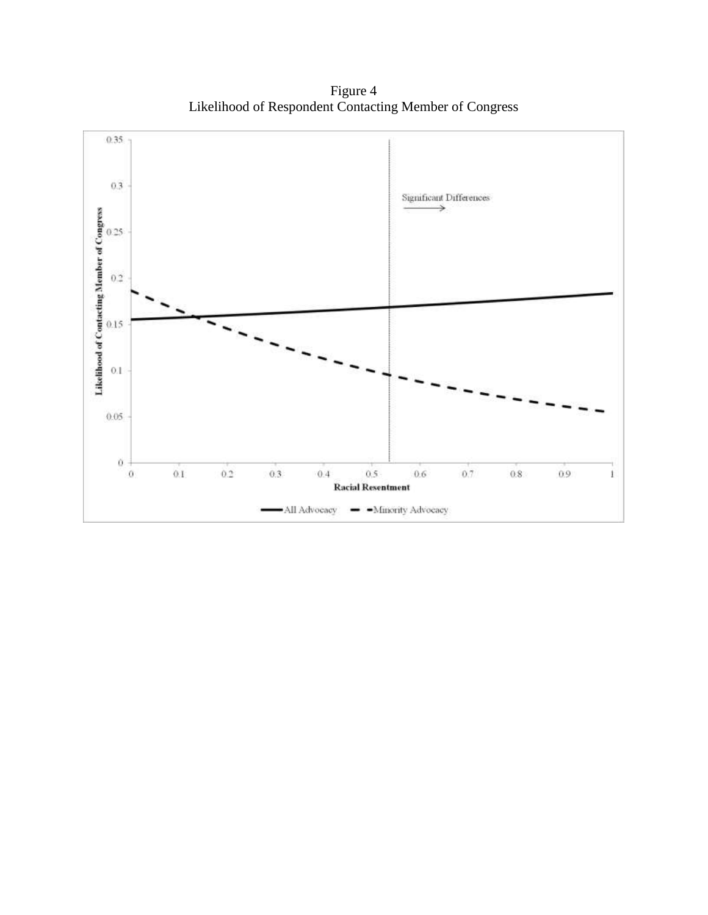Figure 4 Likelihood of Respondent Contacting Member of Congress

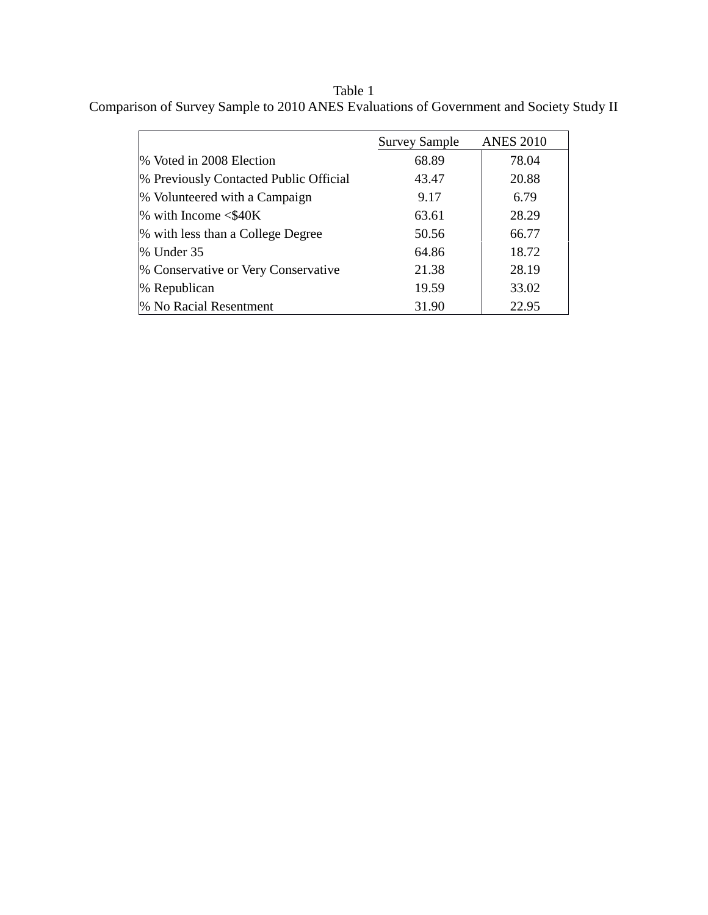Table 1 Comparison of Survey Sample to 2010 ANES Evaluations of Government and Society Study II

|                                        | <b>Survey Sample</b> | <b>ANES 2010</b> |
|----------------------------------------|----------------------|------------------|
| % Voted in 2008 Election               | 68.89                | 78.04            |
| % Previously Contacted Public Official | 43.47                | 20.88            |
| % Volunteered with a Campaign          | 9.17                 | 6.79             |
| $\%$ with Income <\$40K                | 63.61                | 28.29            |
| % with less than a College Degree      | 50.56                | 66.77            |
| % Under 35                             | 64.86                | 18.72            |
| % Conservative or Very Conservative    | 21.38                | 28.19            |
| % Republican                           | 19.59                | 33.02            |
| % No Racial Resentment                 | 31.90                | 22.95            |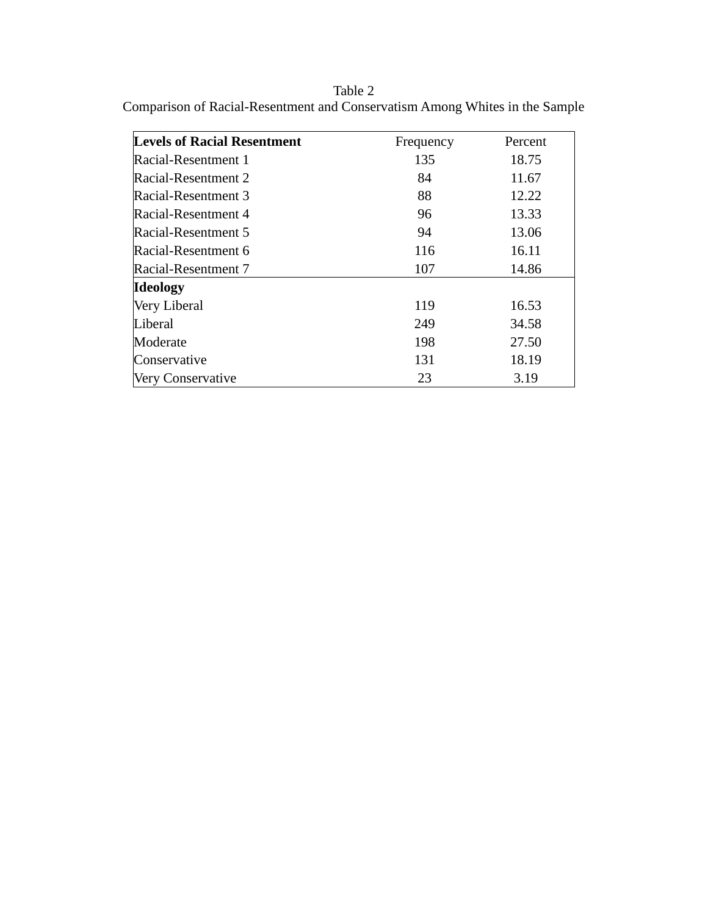Table 2 Comparison of Racial-Resentment and Conservatism Among Whites in the Sample

| <b>Levels of Racial Resentment</b> | Frequency | Percent |
|------------------------------------|-----------|---------|
| Racial-Resentment 1                | 135       | 18.75   |
| Racial-Resentment 2                | 84        | 11.67   |
| Racial-Resentment 3                | 88        | 12.22   |
| Racial-Resentment 4                | 96        | 13.33   |
| Racial-Resentment 5                | 94        | 13.06   |
| Racial-Resentment 6                | 116       | 16.11   |
| Racial-Resentment 7                | 107       | 14.86   |
| <b>Ideology</b>                    |           |         |
| Very Liberal                       | 119       | 16.53   |
| Liberal                            | 249       | 34.58   |
| Moderate                           | 198       | 27.50   |
| Conservative                       | 131       | 18.19   |
| Very Conservative                  | 23        | 3.19    |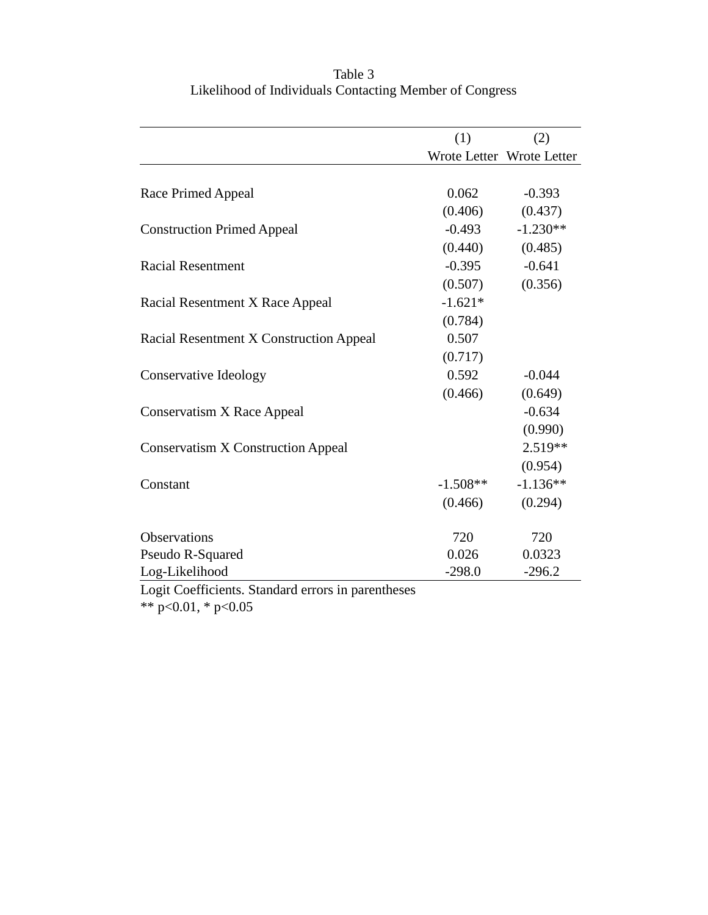|                                                    | (1)        | (2)                       |
|----------------------------------------------------|------------|---------------------------|
|                                                    |            | Wrote Letter Wrote Letter |
|                                                    |            |                           |
| Race Primed Appeal                                 | 0.062      | $-0.393$                  |
|                                                    | (0.406)    | (0.437)                   |
| <b>Construction Primed Appeal</b>                  | $-0.493$   | $-1.230**$                |
|                                                    | (0.440)    | (0.485)                   |
| <b>Racial Resentment</b>                           | $-0.395$   | $-0.641$                  |
|                                                    | (0.507)    | (0.356)                   |
| Racial Resentment X Race Appeal                    | $-1.621*$  |                           |
|                                                    | (0.784)    |                           |
| Racial Resentment X Construction Appeal            | 0.507      |                           |
|                                                    | (0.717)    |                           |
| Conservative Ideology                              | 0.592      | $-0.044$                  |
|                                                    | (0.466)    | (0.649)                   |
| Conservatism X Race Appeal                         |            | $-0.634$                  |
|                                                    |            | (0.990)                   |
| <b>Conservatism X Construction Appeal</b>          |            | 2.519**                   |
|                                                    |            | (0.954)                   |
| Constant                                           | $-1.508**$ | $-1.136**$                |
|                                                    | (0.466)    | (0.294)                   |
| Observations                                       | 720        | 720                       |
| Pseudo R-Squared                                   | 0.026      | 0.0323                    |
| Log-Likelihood                                     | $-298.0$   | $-296.2$                  |
| Logit Coefficients. Standard errors in parentheses |            |                           |

Table 3 Likelihood of Individuals Contacting Member of Congress

\*\*  $p<0.01$ , \*  $p<0.05$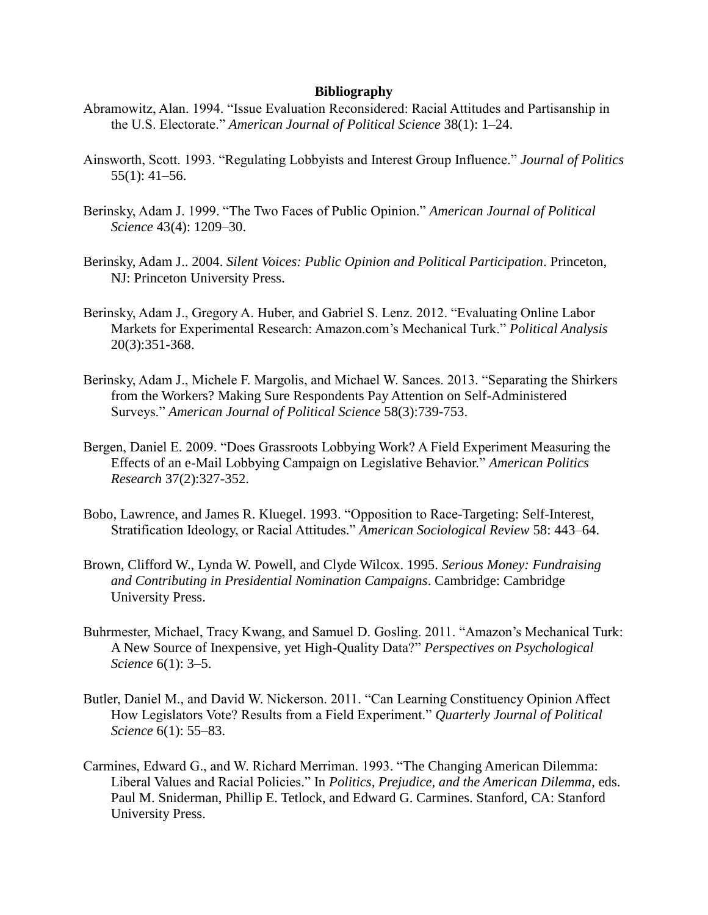#### **Bibliography**

- Abramowitz, Alan. 1994. "Issue Evaluation Reconsidered: Racial Attitudes and Partisanship in the U.S. Electorate." *American Journal of Political Science* 38(1): 1–24.
- Ainsworth, Scott. 1993. "Regulating Lobbyists and Interest Group Influence." *Journal of Politics* 55(1): 41–56.
- Berinsky, Adam J. 1999. "The Two Faces of Public Opinion." *American Journal of Political Science* 43(4): 1209–30.
- Berinsky, Adam J.. 2004. *Silent Voices: Public Opinion and Political Participation*. Princeton, NJ: Princeton University Press.
- Berinsky, Adam J., Gregory A. Huber, and Gabriel S. Lenz. 2012. "Evaluating Online Labor Markets for Experimental Research: Amazon.com's Mechanical Turk." *Political Analysis* 20(3):351-368.
- Berinsky, Adam J., Michele F. Margolis, and Michael W. Sances. 2013. "Separating the Shirkers from the Workers? Making Sure Respondents Pay Attention on Self-Administered Surveys." *American Journal of Political Science* 58(3):739-753.
- Bergen, Daniel E. 2009. "Does Grassroots Lobbying Work? A Field Experiment Measuring the Effects of an e-Mail Lobbying Campaign on Legislative Behavior." *American Politics Research* 37(2):327-352.
- Bobo, Lawrence, and James R. Kluegel. 1993. "Opposition to Race-Targeting: Self-Interest, Stratification Ideology, or Racial Attitudes." *American Sociological Review* 58: 443–64.
- Brown, Clifford W., Lynda W. Powell, and Clyde Wilcox. 1995. *Serious Money: Fundraising and Contributing in Presidential Nomination Campaigns*. Cambridge: Cambridge University Press.
- Buhrmester, Michael, Tracy Kwang, and Samuel D. Gosling. 2011. "Amazon's Mechanical Turk: A New Source of Inexpensive, yet High-Quality Data?" *Perspectives on Psychological Science* 6(1): 3–5.
- Butler, Daniel M., and David W. Nickerson. 2011. "Can Learning Constituency Opinion Affect How Legislators Vote? Results from a Field Experiment." *Quarterly Journal of Political Science* 6(1): 55–83.
- Carmines, Edward G., and W. Richard Merriman. 1993. "The Changing American Dilemma: Liberal Values and Racial Policies." In *Politics, Prejudice, and the American Dilemma*, eds. Paul M. Sniderman, Phillip E. Tetlock, and Edward G. Carmines. Stanford, CA: Stanford University Press.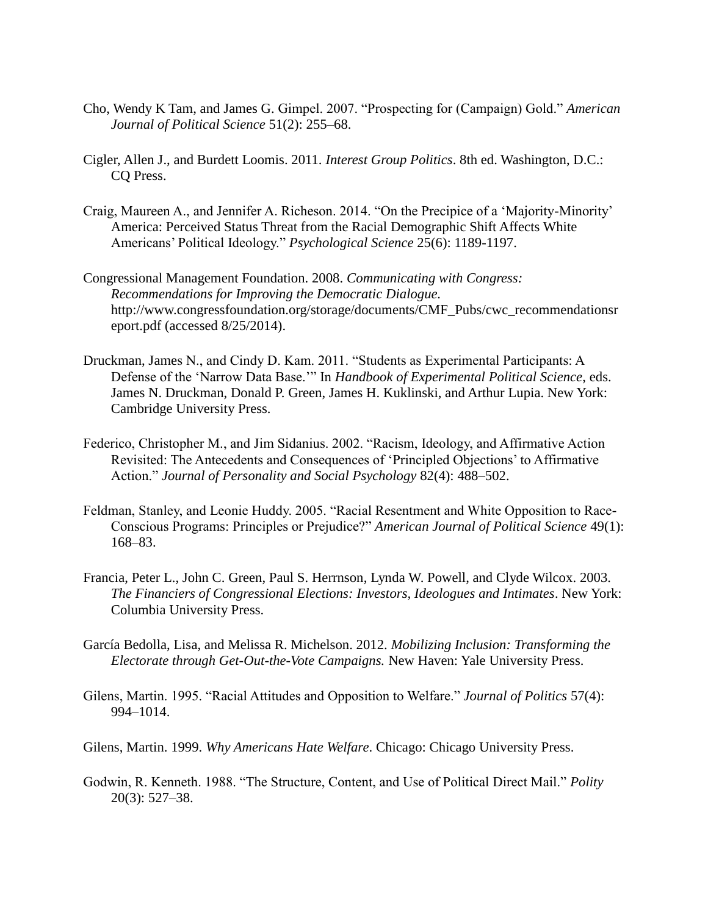- Cho, Wendy K Tam, and James G. Gimpel. 2007. "Prospecting for (Campaign) Gold." *American Journal of Political Science* 51(2): 255–68.
- Cigler, Allen J., and Burdett Loomis. 2011. *Interest Group Politics*. 8th ed. Washington, D.C.: CQ Press.
- Craig, Maureen A., and Jennifer A. Richeson. 2014. "On the Precipice of a 'Majority-Minority' America: Perceived Status Threat from the Racial Demographic Shift Affects White Americans' Political Ideology." *Psychological Science* 25(6): 1189-1197.
- Congressional Management Foundation. 2008. *Communicating with Congress: Recommendations for Improving the Democratic Dialogue.*  http://www.congressfoundation.org/storage/documents/CMF\_Pubs/cwc\_recommendationsr eport.pdf (accessed 8/25/2014).
- Druckman, James N., and Cindy D. Kam. 2011. "Students as Experimental Participants: A Defense of the 'Narrow Data Base.'" In *Handbook of Experimental Political Science*, eds. James N. Druckman, Donald P. Green, James H. Kuklinski, and Arthur Lupia. New York: Cambridge University Press.
- Federico, Christopher M., and Jim Sidanius. 2002. "Racism, Ideology, and Affirmative Action Revisited: The Antecedents and Consequences of 'Principled Objections' to Affirmative Action." *Journal of Personality and Social Psychology* 82(4): 488–502.
- Feldman, Stanley, and Leonie Huddy. 2005. "Racial Resentment and White Opposition to Race-Conscious Programs: Principles or Prejudice?" *American Journal of Political Science* 49(1): 168–83.
- Francia, Peter L., John C. Green, Paul S. Herrnson, Lynda W. Powell, and Clyde Wilcox. 2003. *The Financiers of Congressional Elections: Investors, Ideologues and Intimates*. New York: Columbia University Press.
- García Bedolla, Lisa, and Melissa R. Michelson. 2012. *Mobilizing Inclusion: Transforming the Electorate through Get-Out-the-Vote Campaigns.* New Haven: Yale University Press.
- Gilens, Martin. 1995. "Racial Attitudes and Opposition to Welfare." *Journal of Politics* 57(4): 994–1014.
- Gilens, Martin. 1999. *Why Americans Hate Welfare*. Chicago: Chicago University Press.
- Godwin, R. Kenneth. 1988. "The Structure, Content, and Use of Political Direct Mail." *Polity* 20(3): 527–38.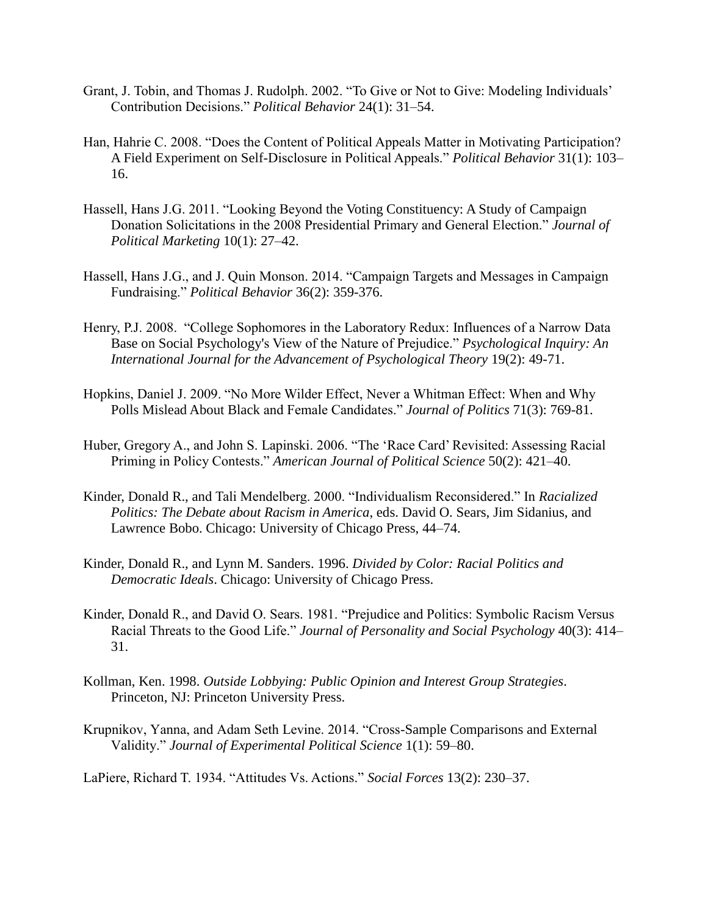- Grant, J. Tobin, and Thomas J. Rudolph. 2002. "To Give or Not to Give: Modeling Individuals' Contribution Decisions." *Political Behavior* 24(1): 31–54.
- Han, Hahrie C. 2008. "Does the Content of Political Appeals Matter in Motivating Participation? A Field Experiment on Self-Disclosure in Political Appeals." *Political Behavior* 31(1): 103– 16.
- Hassell, Hans J.G. 2011. "Looking Beyond the Voting Constituency: A Study of Campaign Donation Solicitations in the 2008 Presidential Primary and General Election." *Journal of Political Marketing* 10(1): 27–42.
- Hassell, Hans J.G., and J. Quin Monson. 2014. "Campaign Targets and Messages in Campaign Fundraising." *Political Behavior* 36(2): 359-376.
- Henry, P.J. 2008. "College Sophomores in the Laboratory Redux: Influences of a Narrow Data Base on Social Psychology's View of the Nature of Prejudice." *Psychological Inquiry: An International Journal for the Advancement of Psychological Theory* 19(2): 49-71.
- Hopkins, Daniel J. 2009. "No More Wilder Effect, Never a Whitman Effect: When and Why Polls Mislead About Black and Female Candidates." *Journal of Politics* 71(3): 769-81.
- Huber, Gregory A., and John S. Lapinski. 2006. "The 'Race Card' Revisited: Assessing Racial Priming in Policy Contests." *American Journal of Political Science* 50(2): 421–40.
- Kinder, Donald R., and Tali Mendelberg. 2000. "Individualism Reconsidered." In *Racialized Politics: The Debate about Racism in America*, eds. David O. Sears, Jim Sidanius, and Lawrence Bobo. Chicago: University of Chicago Press, 44–74.
- Kinder, Donald R., and Lynn M. Sanders. 1996. *Divided by Color: Racial Politics and Democratic Ideals*. Chicago: University of Chicago Press.
- Kinder, Donald R., and David O. Sears. 1981. "Prejudice and Politics: Symbolic Racism Versus Racial Threats to the Good Life." *Journal of Personality and Social Psychology* 40(3): 414– 31.
- Kollman, Ken. 1998. *Outside Lobbying: Public Opinion and Interest Group Strategies*. Princeton, NJ: Princeton University Press.
- Krupnikov, Yanna, and Adam Seth Levine. 2014. "Cross-Sample Comparisons and External Validity." *Journal of Experimental Political Science* 1(1): 59–80.

LaPiere, Richard T. 1934. "Attitudes Vs. Actions." *Social Forces* 13(2): 230–37.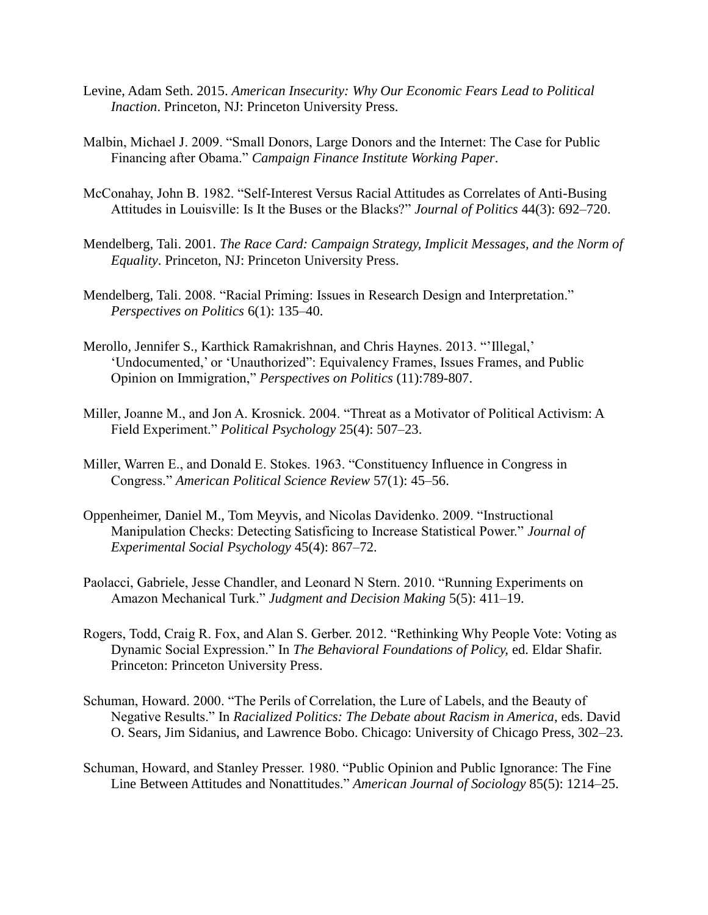- Levine, Adam Seth. 2015. *American Insecurity: Why Our Economic Fears Lead to Political Inaction*. Princeton, NJ: Princeton University Press.
- Malbin, Michael J. 2009. "Small Donors, Large Donors and the Internet: The Case for Public Financing after Obama." *Campaign Finance Institute Working Paper*.
- McConahay, John B. 1982. "Self-Interest Versus Racial Attitudes as Correlates of Anti-Busing Attitudes in Louisville: Is It the Buses or the Blacks?" *Journal of Politics* 44(3): 692–720.
- Mendelberg, Tali. 2001. *The Race Card: Campaign Strategy, Implicit Messages, and the Norm of Equality*. Princeton, NJ: Princeton University Press.
- Mendelberg, Tali. 2008. "Racial Priming: Issues in Research Design and Interpretation." *Perspectives on Politics* 6(1): 135–40.
- Merollo, Jennifer S., Karthick Ramakrishnan, and Chris Haynes. 2013. "'Illegal,' 'Undocumented,' or 'Unauthorized": Equivalency Frames, Issues Frames, and Public Opinion on Immigration," *Perspectives on Politics* (11):789-807.
- Miller, Joanne M., and Jon A. Krosnick. 2004. "Threat as a Motivator of Political Activism: A Field Experiment." *Political Psychology* 25(4): 507–23.
- Miller, Warren E., and Donald E. Stokes. 1963. "Constituency Influence in Congress in Congress." *American Political Science Review* 57(1): 45–56.
- Oppenheimer, Daniel M., Tom Meyvis, and Nicolas Davidenko. 2009. "Instructional Manipulation Checks: Detecting Satisficing to Increase Statistical Power." *Journal of Experimental Social Psychology* 45(4): 867–72.
- Paolacci, Gabriele, Jesse Chandler, and Leonard N Stern. 2010. "Running Experiments on Amazon Mechanical Turk." *Judgment and Decision Making* 5(5): 411–19.
- Rogers, Todd, Craig R. Fox, and Alan S. Gerber. 2012. "Rethinking Why People Vote: Voting as Dynamic Social Expression." In *The Behavioral Foundations of Policy,* ed. Eldar Shafir. Princeton: Princeton University Press.
- Schuman, Howard. 2000. "The Perils of Correlation, the Lure of Labels, and the Beauty of Negative Results." In *Racialized Politics: The Debate about Racism in America*, eds. David O. Sears, Jim Sidanius, and Lawrence Bobo. Chicago: University of Chicago Press, 302–23.
- Schuman, Howard, and Stanley Presser. 1980. "Public Opinion and Public Ignorance: The Fine Line Between Attitudes and Nonattitudes." *American Journal of Sociology* 85(5): 1214–25.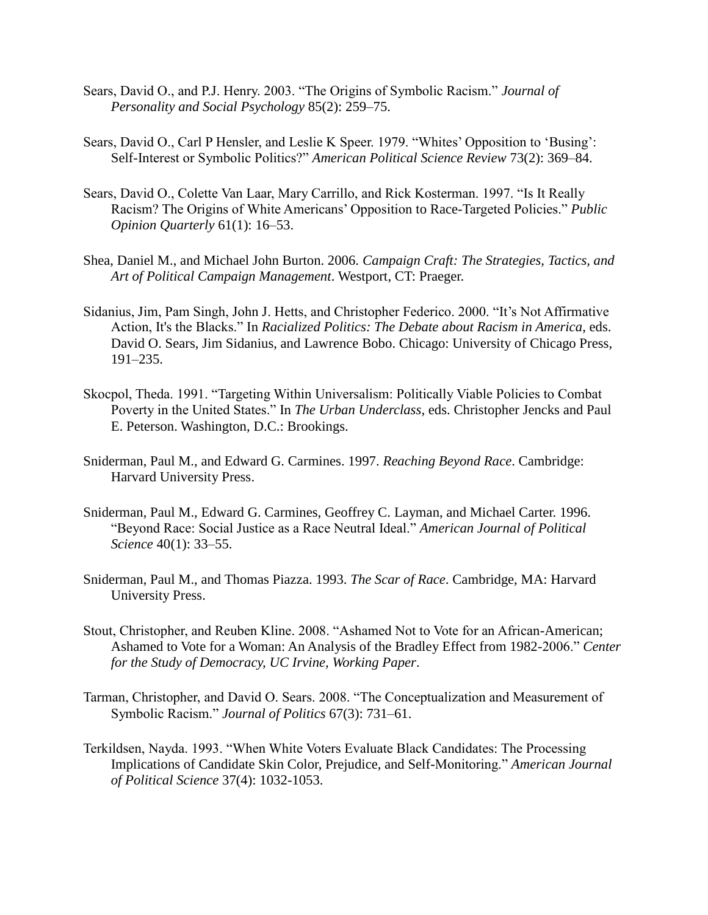- Sears, David O., and P.J. Henry. 2003. "The Origins of Symbolic Racism." *Journal of Personality and Social Psychology* 85(2): 259–75.
- Sears, David O., Carl P Hensler, and Leslie K Speer. 1979. "Whites' Opposition to 'Busing': Self-Interest or Symbolic Politics?" *American Political Science Review* 73(2): 369–84.
- Sears, David O., Colette Van Laar, Mary Carrillo, and Rick Kosterman. 1997. "Is It Really Racism? The Origins of White Americans' Opposition to Race-Targeted Policies." *Public Opinion Quarterly* 61(1): 16–53.
- Shea, Daniel M., and Michael John Burton. 2006. *Campaign Craft: The Strategies, Tactics, and Art of Political Campaign Management*. Westport, CT: Praeger.
- Sidanius, Jim, Pam Singh, John J. Hetts, and Christopher Federico. 2000. "It's Not Affirmative Action, It's the Blacks." In *Racialized Politics: The Debate about Racism in America*, eds. David O. Sears, Jim Sidanius, and Lawrence Bobo. Chicago: University of Chicago Press, 191–235.
- Skocpol, Theda. 1991. "Targeting Within Universalism: Politically Viable Policies to Combat Poverty in the United States." In *The Urban Underclass*, eds. Christopher Jencks and Paul E. Peterson. Washington, D.C.: Brookings.
- Sniderman, Paul M., and Edward G. Carmines. 1997. *Reaching Beyond Race*. Cambridge: Harvard University Press.
- Sniderman, Paul M., Edward G. Carmines, Geoffrey C. Layman, and Michael Carter. 1996. "Beyond Race: Social Justice as a Race Neutral Ideal." *American Journal of Political Science* 40(1): 33–55.
- Sniderman, Paul M., and Thomas Piazza. 1993. *The Scar of Race*. Cambridge, MA: Harvard University Press.
- Stout, Christopher, and Reuben Kline. 2008. "Ashamed Not to Vote for an African-American; Ashamed to Vote for a Woman: An Analysis of the Bradley Effect from 1982-2006." *Center for the Study of Democracy, UC Irvine, Working Paper*.
- Tarman, Christopher, and David O. Sears. 2008. "The Conceptualization and Measurement of Symbolic Racism." *Journal of Politics* 67(3): 731–61.
- Terkildsen, Nayda. 1993. "When White Voters Evaluate Black Candidates: The Processing Implications of Candidate Skin Color, Prejudice, and Self-Monitoring." *American Journal of Political Science* 37(4): 1032-1053.